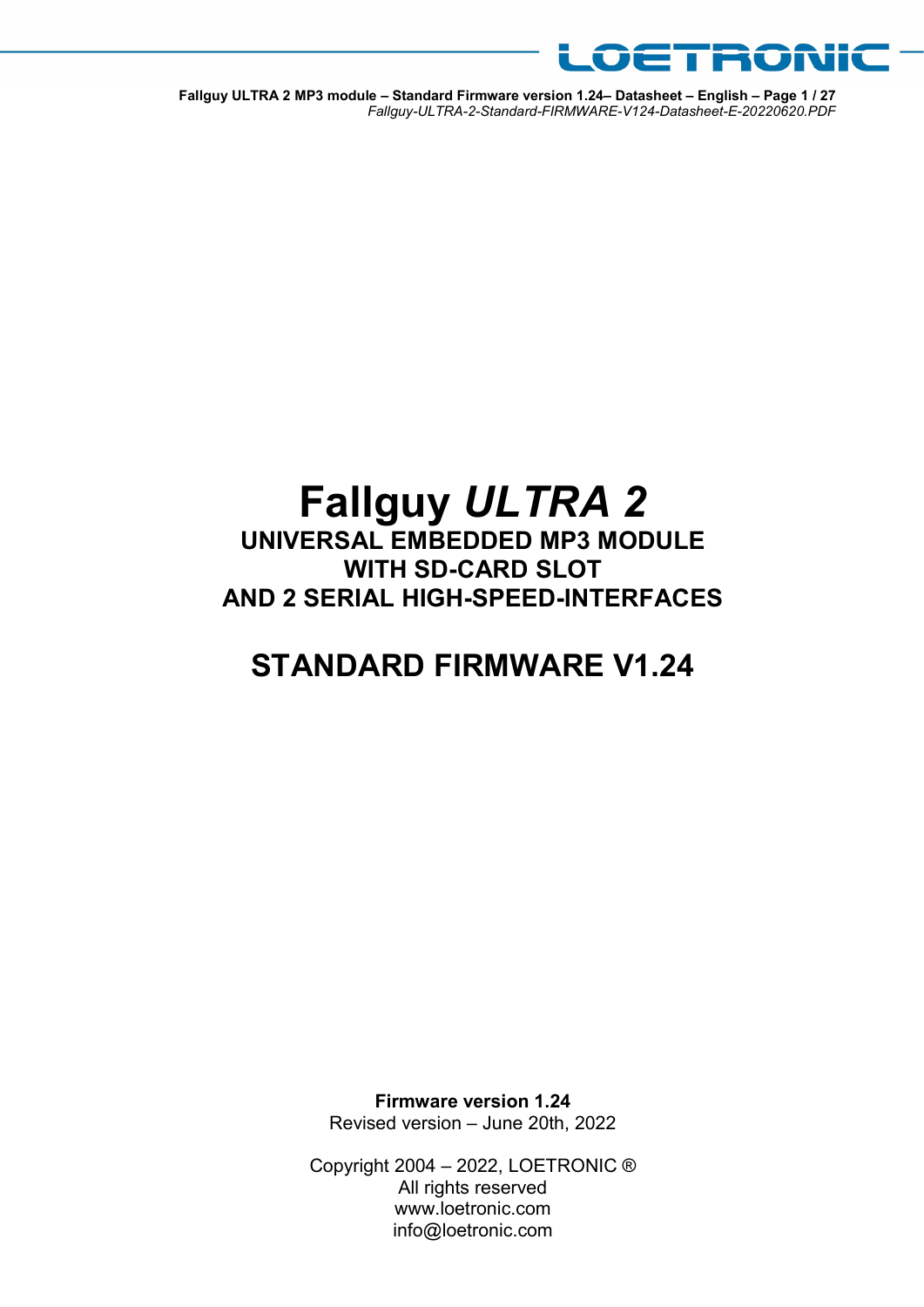

Fallguy ULTRA 2 MP3 module – Standard Firmware version 1.24– Datasheet – English – Page 1 / 27 Fallguy-ULTRA-2-Standard-FIRMWARE-V124-Datasheet-E-20220620.PDF

# Fallguy ULTRA 2

UNIVERSAL EMBEDDED MP3 MODULE WITH SD-CARD SLOT AND 2 SERIAL HIGH-SPEED-INTERFACES

## STANDARD FIRMWARE V1.24

Firmware version 1.24 Revised version – June 20th, 2022

Copyright 2004 – 2022, LOETRONIC ® All rights reserved www.loetronic.com info@loetronic.com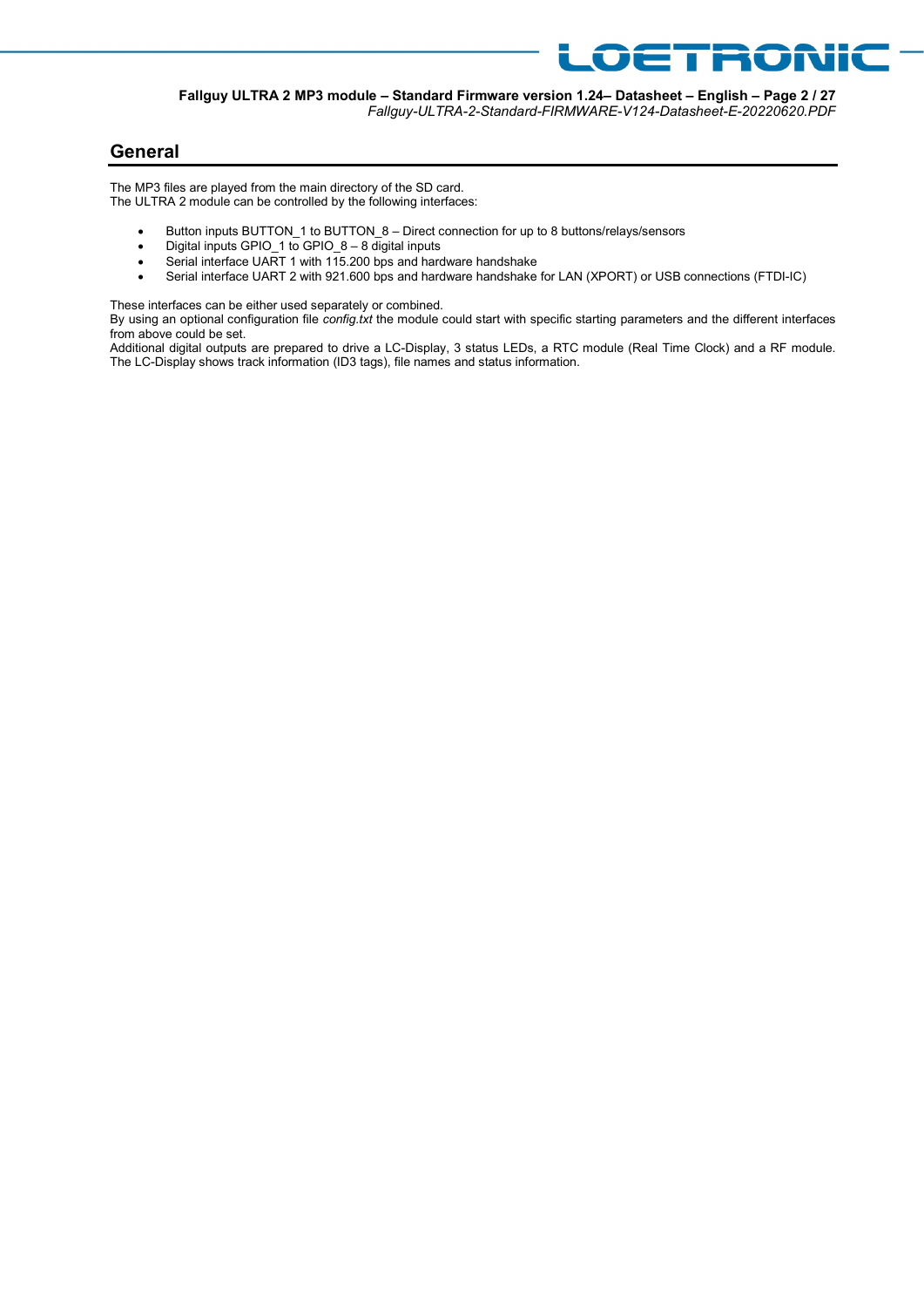

## Fallguy-ULTRA-2-Standard-FIRMWARE-V124-Datasheet-E-20220620.PDF

OETRONIC

## General

The MP3 files are played from the main directory of the SD card. The ULTRA 2 module can be controlled by the following interfaces:

- Button inputs BUTTON\_1 to BUTTON\_8 Direct connection for up to 8 buttons/relays/sensors
- Digital inputs GPIO\_1 to GPIO\_8 8 digital inputs
- Serial interface UART 1 with 115.200 bps and hardware handshake
- Serial interface UART 2 with 921.600 bps and hardware handshake for LAN (XPORT) or USB connections (FTDI-IC)

These interfaces can be either used separately or combined.

By using an optional configuration file config.txt the module could start with specific starting parameters and the different interfaces from above could be set.

Additional digital outputs are prepared to drive a LC-Display, 3 status LEDs, a RTC module (Real Time Clock) and a RF module. The LC-Display shows track information (ID3 tags), file names and status information.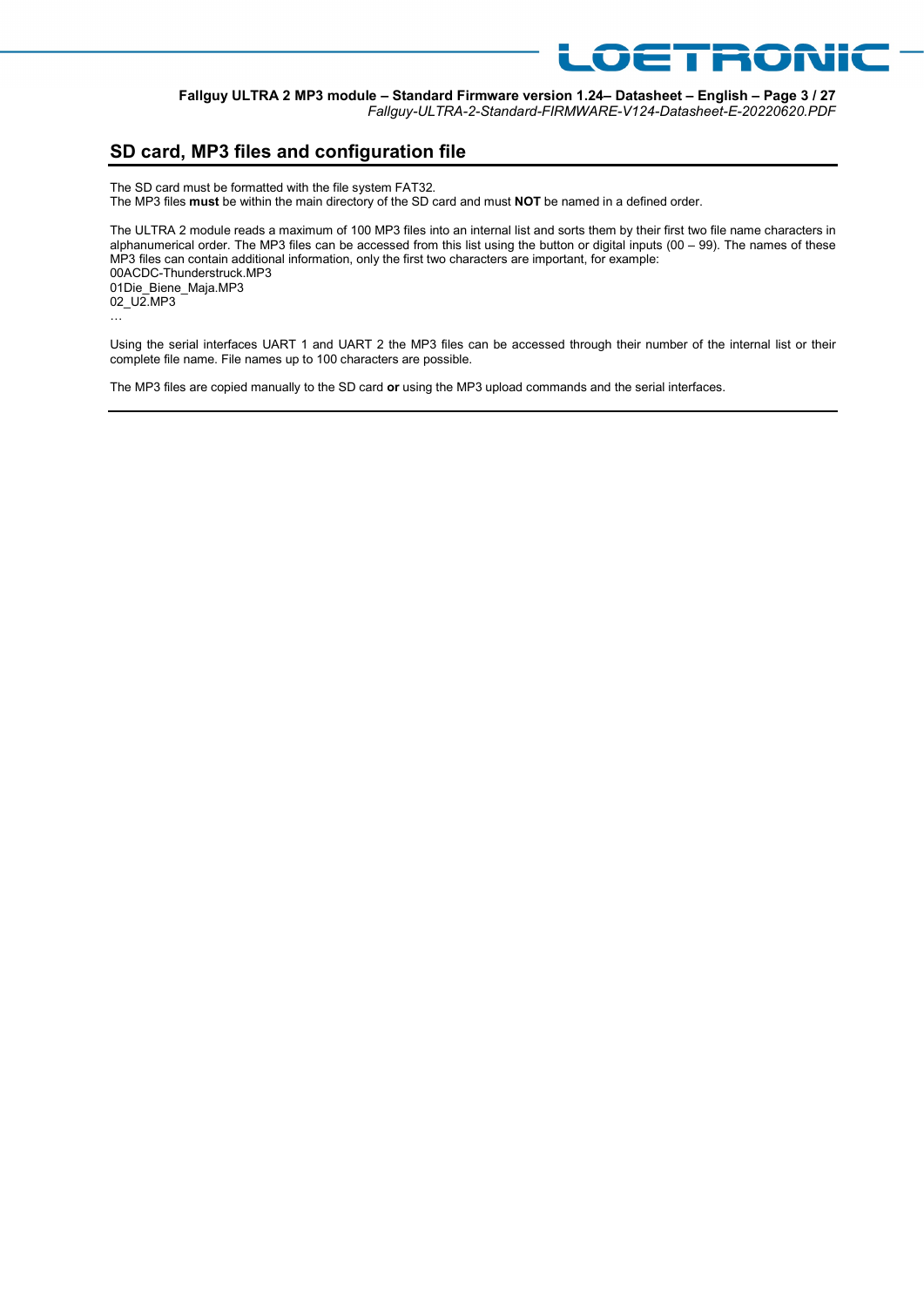

Fallguy ULTRA 2 MP3 module – Standard Firmware version 1.24– Datasheet – English – Page 3 / 27 Fallguy-ULTRA-2-Standard-FIRMWARE-V124-Datasheet-E-20220620.PDF

## SD card, MP3 files and configuration file

The SD card must be formatted with the file system FAT32. The MP3 files must be within the main directory of the SD card and must NOT be named in a defined order.

The ULTRA 2 module reads a maximum of 100 MP3 files into an internal list and sorts them by their first two file name characters in alphanumerical order. The MP3 files can be accessed from this list using the button or digital inputs (00 – 99). The names of these MP3 files can contain additional information, only the first two characters are important, for example: 00ACDC-Thunderstruck.MP3 01Die\_Biene\_Maja.MP3 02\_U2.MP3 …

Using the serial interfaces UART 1 and UART 2 the MP3 files can be accessed through their number of the internal list or their complete file name. File names up to 100 characters are possible.

The MP3 files are copied manually to the SD card or using the MP3 upload commands and the serial interfaces.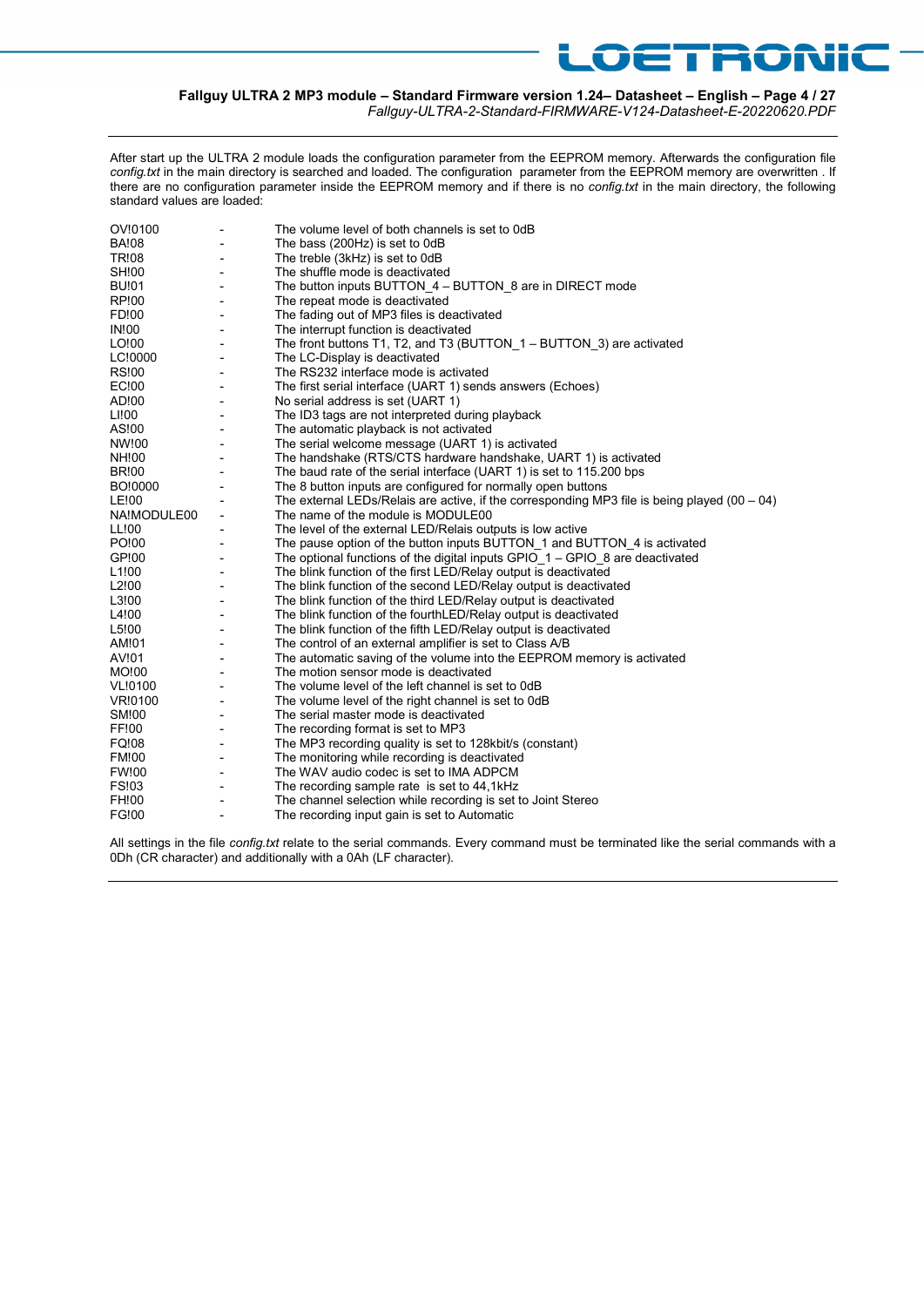## Fallguy ULTRA 2 MP3 module – Standard Firmware version 1.24– Datasheet – English – Page 4 / 27

Fallguy-ULTRA-2-Standard-FIRMWARE-V124-Datasheet-E-20220620.PDF

**OETRONIC** 

After start up the ULTRA 2 module loads the configuration parameter from the EEPROM memory. Afterwards the configuration file config.txt in the main directory is searched and loaded. The configuration parameter from the EEPROM memory are overwritten . If there are no configuration parameter inside the EEPROM memory and if there is no config.txt in the main directory, the following standard values are loaded:

| OV!0100           |                          | The volume level of both channels is set to 0dB                                                |
|-------------------|--------------------------|------------------------------------------------------------------------------------------------|
| <b>BA!08</b>      | $\blacksquare$           | The bass (200Hz) is set to 0dB                                                                 |
| <b>TR!08</b>      |                          | The treble (3kHz) is set to 0dB                                                                |
| SH!00             |                          | The shuffle mode is deactivated                                                                |
| <b>BU!01</b>      | $\overline{\phantom{0}}$ | The button inputs BUTTON 4 - BUTTON 8 are in DIRECT mode                                       |
| RP!00             | $\overline{\phantom{0}}$ | The repeat mode is deactivated                                                                 |
| FD!00             | $\overline{\phantom{0}}$ | The fading out of MP3 files is deactivated                                                     |
| <b>IN!00</b>      |                          | The interrupt function is deactivated                                                          |
| LO!00             |                          | The front buttons T1, T2, and T3 (BUTTON $1 -$ BUTTON 3) are activated                         |
| LC!0000           |                          | The LC-Display is deactivated                                                                  |
| <b>RS!00</b>      | ٠                        | The RS232 interface mode is activated                                                          |
| EC!00             | ٠                        | The first serial interface (UART 1) sends answers (Echoes)                                     |
| AD!00             |                          | No serial address is set (UART 1)                                                              |
| LI!00             | $\overline{\phantom{a}}$ | The ID3 tags are not interpreted during playback                                               |
| AS!00             | $\overline{\phantom{a}}$ | The automatic playback is not activated                                                        |
| NW!00             | $\overline{\phantom{a}}$ | The serial welcome message (UART 1) is activated                                               |
| NH!00             |                          | The handshake (RTS/CTS hardware handshake, UART 1) is activated                                |
| <b>BR!00</b>      |                          | The baud rate of the serial interface (UART 1) is set to 115.200 bps                           |
| BO!0000           |                          | The 8 button inputs are configured for normally open buttons                                   |
| LE!00             |                          | The external LEDs/Relais are active, if the corresponding MP3 file is being played $(00 - 04)$ |
| NA!MODULE00       | $\overline{\phantom{a}}$ | The name of the module is MODULE00                                                             |
| LL!00             |                          | The level of the external LED/Relais outputs is low active                                     |
| PO!00             |                          | The pause option of the button inputs BUTTON 1 and BUTTON 4 is activated                       |
| GP!00             |                          | The optional functions of the digital inputs GPIO $1 -$ GPIO 8 are deactivated                 |
| L <sub>1!00</sub> | $\overline{\phantom{a}}$ | The blink function of the first LED/Relay output is deactivated                                |
| L2!00             | ٠                        | The blink function of the second LED/Relay output is deactivated                               |
| L3!00             |                          | The blink function of the third LED/Relay output is deactivated                                |
| L4!00             |                          | The blink function of the fourthLED/Relay output is deactivated                                |
| L5!00             | $\overline{\phantom{a}}$ | The blink function of the fifth LED/Relay output is deactivated                                |
| AM!01             | $\overline{\phantom{a}}$ | The control of an external amplifier is set to Class A/B                                       |
| AV!01             | $\overline{\phantom{a}}$ | The automatic saving of the volume into the EEPROM memory is activated                         |
| MO!00             | $\overline{\phantom{a}}$ | The motion sensor mode is deactivated                                                          |
| VL!0100           | $\overline{\phantom{a}}$ | The volume level of the left channel is set to 0dB                                             |
| VR!0100           | $\overline{\phantom{a}}$ | The volume level of the right channel is set to 0dB                                            |
| <b>SM!00</b>      | $\blacksquare$           | The serial master mode is deactivated                                                          |
| FF!00             |                          | The recording format is set to MP3                                                             |
| FQ!08             |                          | The MP3 recording quality is set to 128 kbit/s (constant)                                      |
| <b>FM!00</b>      |                          | The monitoring while recording is deactivated                                                  |
| <b>FW!00</b>      | $\overline{\phantom{a}}$ | The WAV audio codec is set to IMA ADPCM                                                        |
| <b>FS!03</b>      | ٠                        | The recording sample rate is set to 44,1kHz                                                    |
| FH!00             | ٠                        | The channel selection while recording is set to Joint Stereo                                   |
| FG!00             | $\overline{a}$           | The recording input gain is set to Automatic                                                   |

All settings in the file config.txt relate to the serial commands. Every command must be terminated like the serial commands with a 0Dh (CR character) and additionally with a 0Ah (LF character).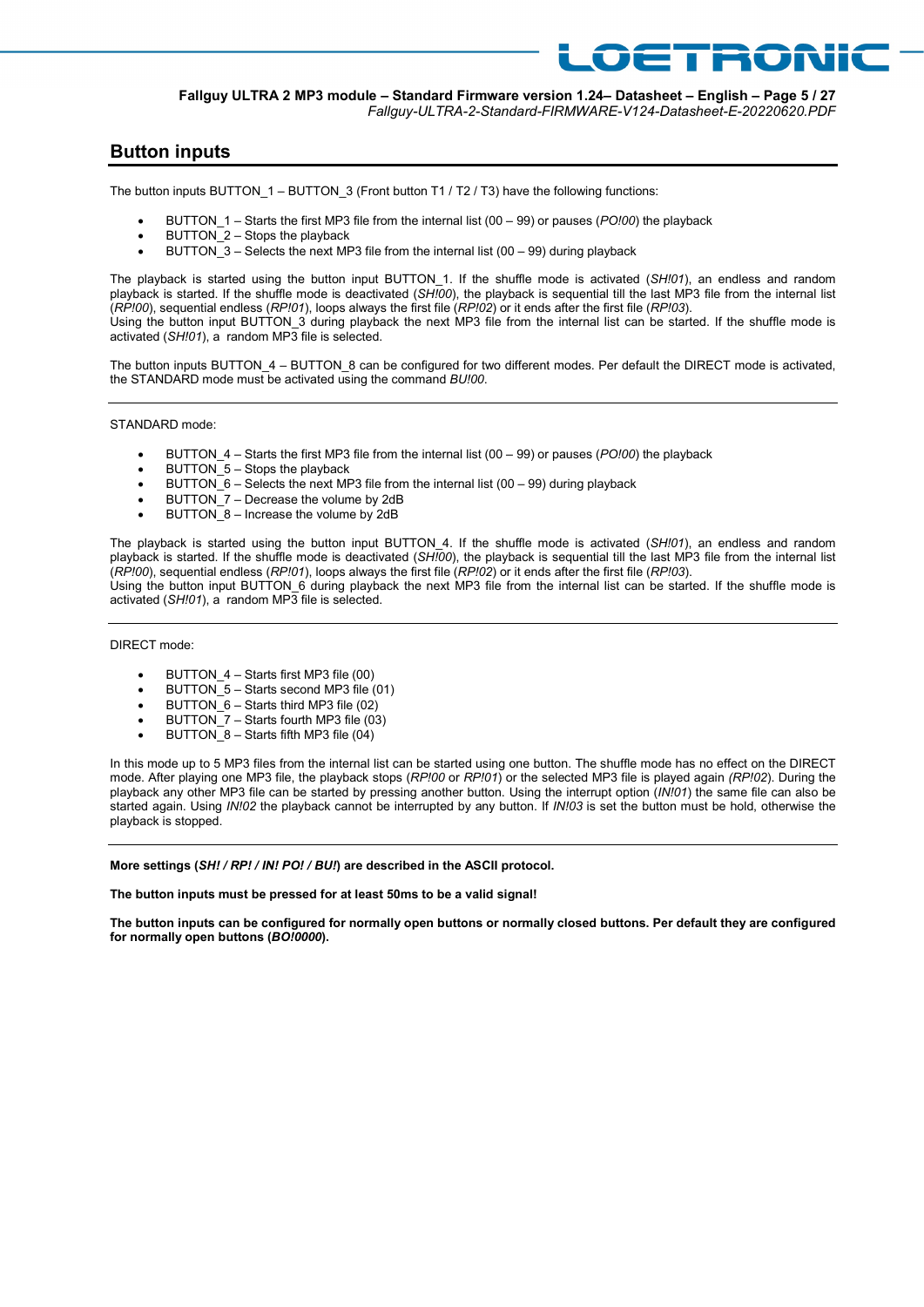#### Fallguy ULTRA 2 MP3 module – Standard Firmware version 1.24– Datasheet – English – Page 5 / 27 Fallguy-ULTRA-2-Standard-FIRMWARE-V124-Datasheet-E-20220620.PDF

**ETRONIC** 

### Button inputs

The button inputs BUTTON 1 – BUTTON 3 (Front button T1 / T2 / T3) have the following functions:

- BUTTON  $1 -$  Starts the first MP3 file from the internal list (00 99) or pauses (PO!00) the playback
- BUTTON\_2 Stops the playback
- $\bullet$  BUTTON 3 Selects the next MP3 file from the internal list (00 99) during playback

The playback is started using the button input BUTTON 1. If the shuffle mode is activated (SH!01), an endless and random playback is started. If the shuffle mode is deactivated (SH!00), the playback is sequential till the last MP3 file from the internal list (RP!00), sequential endless (RP!01), loops always the first file (RP!02) or it ends after the first file (RP!03). Using the button input BUTTON\_3 during playback the next MP3 file from the internal list can be started. If the shuffle mode is activated ( $SH$  01), a random MP3 file is selected.

The button inputs BUTTON\_4 – BUTTON\_8 can be configured for two different modes. Per default the DIRECT mode is activated, the STANDARD mode must be activated using the command BU!00.

STANDARD mode:

- BUTTON  $4 -$  Starts the first MP3 file from the internal list (00 99) or pauses (PO!00) the playback
- $BUTTON$  5 Stops the playback
- **BUTTON**  $\overline{6}$  Selects the next MP3 file from the internal list (00 99) during playback
- BUTTON 7 Decrease the volume by 2dB
- BUTTON  $8$  Increase the volume by 2dB

The playback is started using the button input BUTTON 4. If the shuffle mode is activated (SH!01), an endless and random playback is started. If the shuffle mode is deactivated  $(SH<sub>10</sub>O<sub>0</sub>)$ , the playback is sequential till the last MP3 file from the internal list  $(RP100)$ , sequential endless  $(RP101)$ , loops always the first file  $(RP102)$  or it ends after the first file (RP103). Using the button input BUTTON\_6 during playback the next MP3 file from the internal list can be started. If the shuffle mode is

activated (SH!01), a random MP3 file is selected.

DIRECT mode:

- BUTTON\_4 Starts first MP3 file (00)
- $\bullet$  BUTTON 5 Starts second MP3 file (01)
- BUTTON\_6 Starts third MP3 file (02)
- $\bullet$  BUTTON  $7 -$  Starts fourth MP3 file (03)
- BUTTON\_8 Starts fifth MP3 file (04)

In this mode up to 5 MP3 files from the internal list can be started using one button. The shuffle mode has no effect on the DIRECT mode. After playing one MP3 file, the playback stops (RP!00 or RP!01) or the selected MP3 file is played again (RP!02). During the playback any other MP3 file can be started by pressing another button. Using the interrupt option (IN!01) the same file can also be started again. Using IN!02 the playback cannot be interrupted by any button. If IN!03 is set the button must be hold, otherwise the playback is stopped.

More settings (SH! / RP! / IN! PO! / BU!) are described in the ASCII protocol.

The button inputs must be pressed for at least 50ms to be a valid signal!

The button inputs can be configured for normally open buttons or normally closed buttons. Per default they are configured for normally open buttons (BO!0000).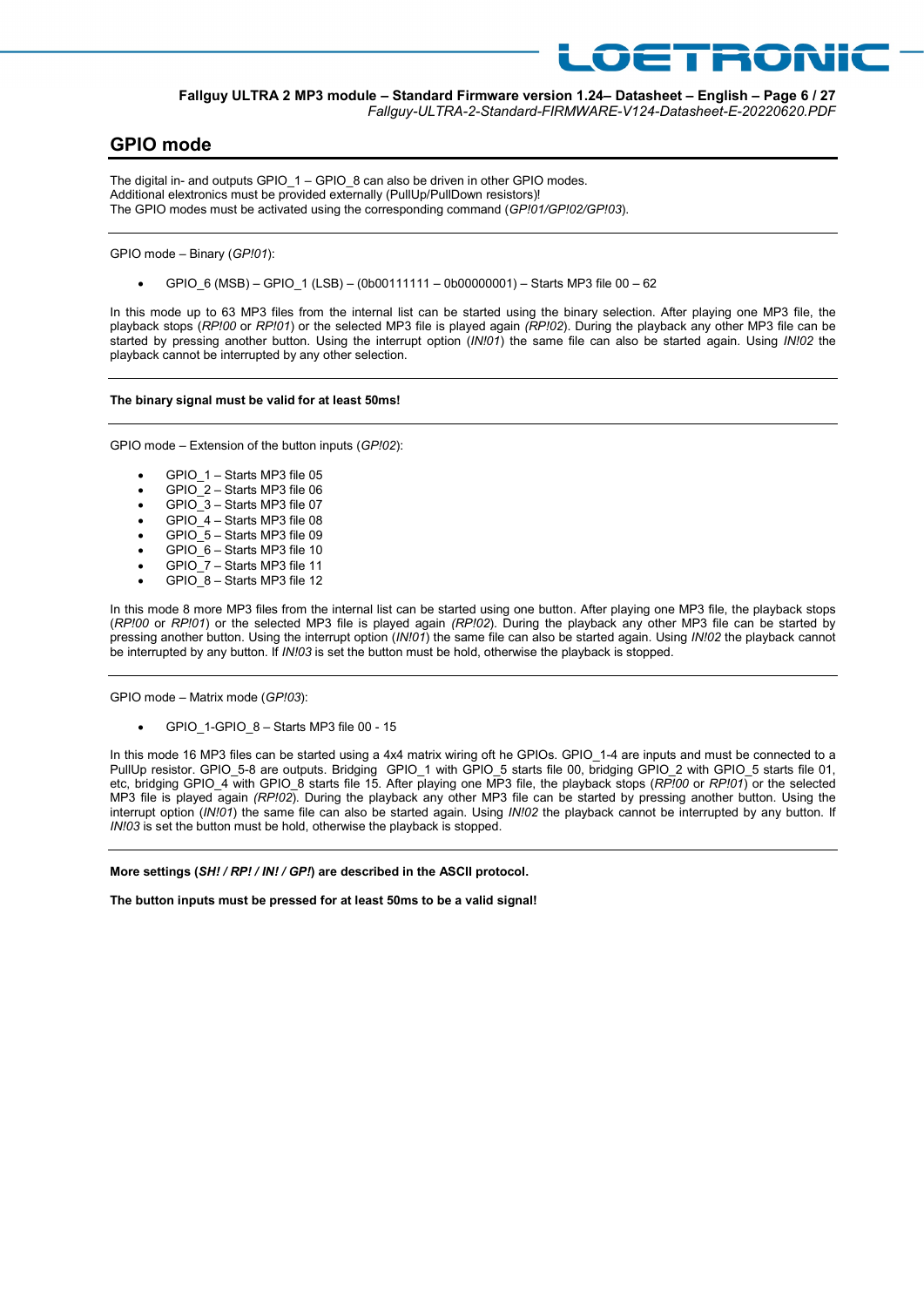

Fallguy ULTRA 2 MP3 module – Standard Firmware version 1.24– Datasheet – English – Page 6 / 27 Fallguy-ULTRA-2-Standard-FIRMWARE-V124-Datasheet-E-20220620.PDF

### GPIO mode

The digital in- and outputs GPIO 1 – GPIO 8 can also be driven in other GPIO modes. Additional elextronics must be provided externally (PullUp/PullDown resistors)! The GPIO modes must be activated using the corresponding command (GP!01/GP!02/GP!03).

GPIO mode – Binary (GP!01):

GPIO\_6 (MSB) – GPIO\_1 (LSB) – (0b00111111 – 0b00000001) – Starts MP3 file 00 – 62

In this mode up to 63 MP3 files from the internal list can be started using the binary selection. After playing one MP3 file, the playback stops (RP!00 or RP!01) or the selected MP3 file is played again (RP!02). During the playback any other MP3 file can be started by pressing another button. Using the interrupt option (IN!01) the same file can also be started again. Using IN!02 the playback cannot be interrupted by any other selection.

#### The binary signal must be valid for at least 50ms!

GPIO mode – Extension of the button inputs (GP!02):

- GPIO\_1 Starts MP3 file 05
- GPIO\_2 Starts MP3 file 06
- GPIO\_3 Starts MP3 file 07
- GPIO\_4 Starts MP3 file 08
- GPIO\_5 Starts MP3 file 09
- GPIO\_6 Starts MP3 file 10
- GPIO\_7 Starts MP3 file 11
- GPIO\_8 Starts MP3 file 12

In this mode 8 more MP3 files from the internal list can be started using one button. After playing one MP3 file, the playback stops (RP!00 or RP!01) or the selected MP3 file is played again (RP!02). During the playback any other MP3 file can be started by pressing another button. Using the interrupt option (IN!01) the same file can also be started again. Using IN!02 the playback cannot be interrupted by any button. If IN!03 is set the button must be hold, otherwise the playback is stopped.

GPIO mode – Matrix mode (GP!03):

GPIO\_1-GPIO\_8 – Starts MP3 file 00 - 15

In this mode 16 MP3 files can be started using a 4x4 matrix wiring oft he GPIOs. GPIO\_1-4 are inputs and must be connected to a PullUp resistor. GPIO\_5-8 are outputs. Bridging GPIO\_1 with GPIO\_5 starts file 00, bridging GPIO\_2 with GPIO\_5 starts file 01, etc, bridging GPIO 4 with GPIO 8 starts file 15. After playing one MP3 file, the playback stops (RP!00 or RP!01) or the selected MP3 file is played again (RP!02). During the playback any other MP3 file can be started by pressing another button. Using the interrupt option (IN!01) the same file can also be started again. Using IN!02 the playback cannot be interrupted by any button. If IN!03 is set the button must be hold, otherwise the playback is stopped.

More settings (SH! / RP! / IN! / GP!) are described in the ASCII protocol.

The button inputs must be pressed for at least 50ms to be a valid signal!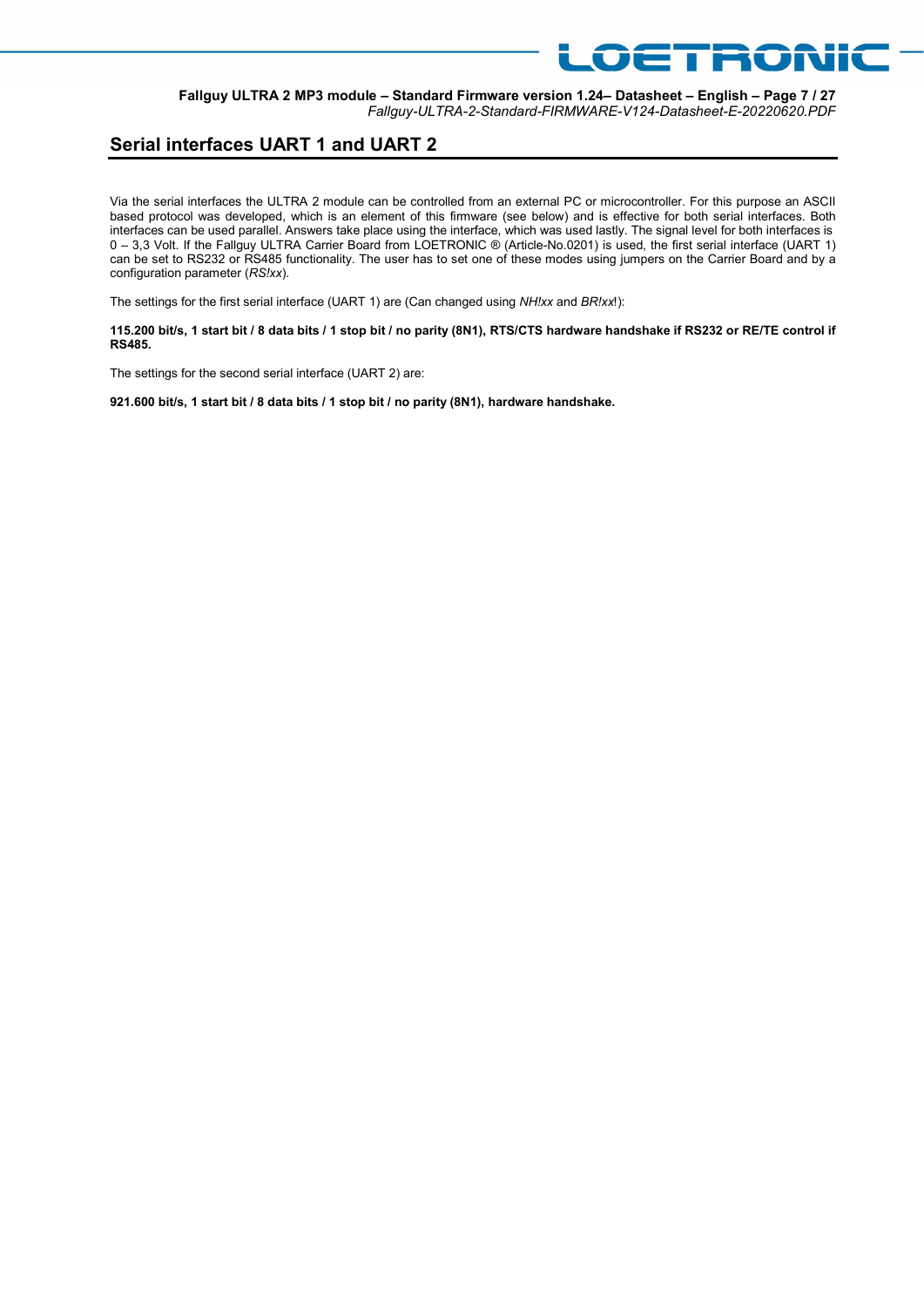#### Fallguy ULTRA 2 MP3 module – Standard Firmware version 1.24– Datasheet – English – Page 7 / 27 Fallguy-ULTRA-2-Standard-FIRMWARE-V124-Datasheet-E-20220620.PDF

OETRONIC

## Serial interfaces UART 1 and UART 2

Via the serial interfaces the ULTRA 2 module can be controlled from an external PC or microcontroller. For this purpose an ASCII based protocol was developed, which is an element of this firmware (see below) and is effective for both serial interfaces. Both interfaces can be used parallel. Answers take place using the interface, which was used lastly. The signal level for both interfaces is 0 – 3,3 Volt. If the Fallguy ULTRA Carrier Board from LOETRONIC ® (Article-No.0201) is used, the first serial interface (UART 1) can be set to RS232 or RS485 functionality. The user has to set one of these modes using jumpers on the Carrier Board and by a configuration parameter (RS!xx).

The settings for the first serial interface (UART 1) are (Can changed using NH!xx and BR!xx!):

115.200 bit/s, 1 start bit / 8 data bits / 1 stop bit / no parity (8N1), RTS/CTS hardware handshake if RS232 or RE/TE control if RS485.

The settings for the second serial interface (UART 2) are:

921.600 bit/s, 1 start bit / 8 data bits / 1 stop bit / no parity (8N1), hardware handshake.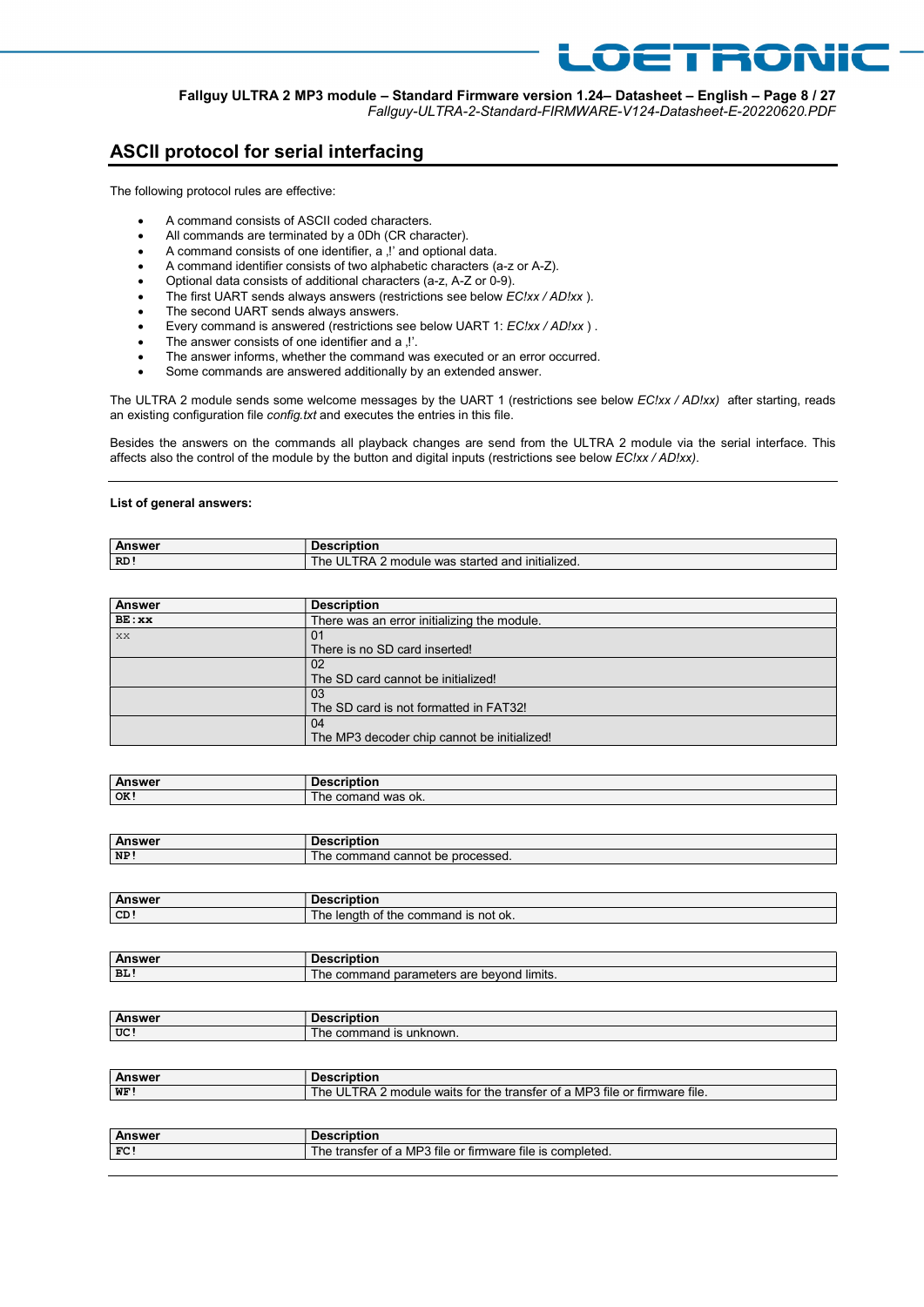#### Fallguy ULTRA 2 MP3 module – Standard Firmware version 1.24– Datasheet – English – Page 8 / 27 Fallguy-ULTRA-2-Standard-FIRMWARE-V124-Datasheet-E-20220620.PDF

OETRONIC

## ASCII protocol for serial interfacing

The following protocol rules are effective:

- A command consists of ASCII coded characters.
- All commands are terminated by a 0Dh (CR character).
- A command consists of one identifier, a , !' and optional data.
- A command identifier consists of two alphabetic characters (a-z or A-Z).
- Optional data consists of additional characters (a-z, A-Z or 0-9).
- The first UART sends always answers (restrictions see below EC!xx / AD!xx ).
- The second UART sends always answers.
- Every command is answered (restrictions see below UART 1: EC!xx / AD!xx).
- The answer consists of one identifier and a .!'.
- The answer informs, whether the command was executed or an error occurred.
- Some commands are answered additionally by an extended answer.

The ULTRA 2 module sends some welcome messages by the UART 1 (restrictions see below EC!xx / AD!xx) after starting, reads an existing configuration file config.txt and executes the entries in this file.

Besides the answers on the commands all playback changes are send from the ULTRA 2 module via the serial interface. This affects also the control of the module by the button and digital inputs (restrictions see below EC!xx / AD!xx).

#### List of general answers:

| ∴Answr | criouor                                                                                 |
|--------|-----------------------------------------------------------------------------------------|
| RD!    | .<br>$\cdots$<br>UĽ.<br>initialized.<br>t and<br>2 module<br>was<br>started<br>he<br>ĸА |

| <b>Answer</b> | <b>Description</b>                          |
|---------------|---------------------------------------------|
| BE:xx         | There was an error initializing the module. |
| XX            | 0 <sub>1</sub>                              |
|               | There is no SD card inserted!               |
|               | 02                                          |
|               | The SD card cannot be initialized!          |
|               | 03                                          |
|               | The SD card is not formatted in FAT32!      |
|               | 04                                          |
|               | The MP3 decoder chip cannot be initialized! |

| <b>Answer</b> | ----------<br><b>Description</b> |
|---------------|----------------------------------|
| OK!           | was ok.<br>comand<br>l he        |

| Answ <sub>r</sub> | $\blacksquare$<br>.<br>wes<br>люцог            |
|-------------------|------------------------------------------------|
| NP <sub>2</sub>   | cannot be<br>comr<br>processed.<br>ne<br>mano. |

| . Answer        | <b>Description</b>                                 |
|-----------------|----------------------------------------------------|
| CD <sub>1</sub> | is not ok.<br>the<br>command<br>ОT<br>ne<br>lenati |

| <b>Answer</b> | .                                                                                                     |
|---------------|-------------------------------------------------------------------------------------------------------|
| BL!           | $\cdots$<br>. .<br>$\sim$ no<br>≛ limits.<br>bevond<br>cor<br>meters<br>ne<br>nar<br>mand<br>are<br>ы |

| Anewar | <b>Description</b>           |
|--------|------------------------------|
| wU     | ribtion                      |
| UC!    | unknown.<br>command is<br>ne |

| <b>Answer</b> | <b>Description</b>                                                        |
|---------------|---------------------------------------------------------------------------|
| WF!           | The ULTRA 2 module waits for the transfer of a MP3 file or firmware file. |
|               |                                                                           |
|               |                                                                           |
| <b>Answer</b> | <b>Description</b>                                                        |
| FC!           | The transfer of a MP3 file or firmware file is completed.                 |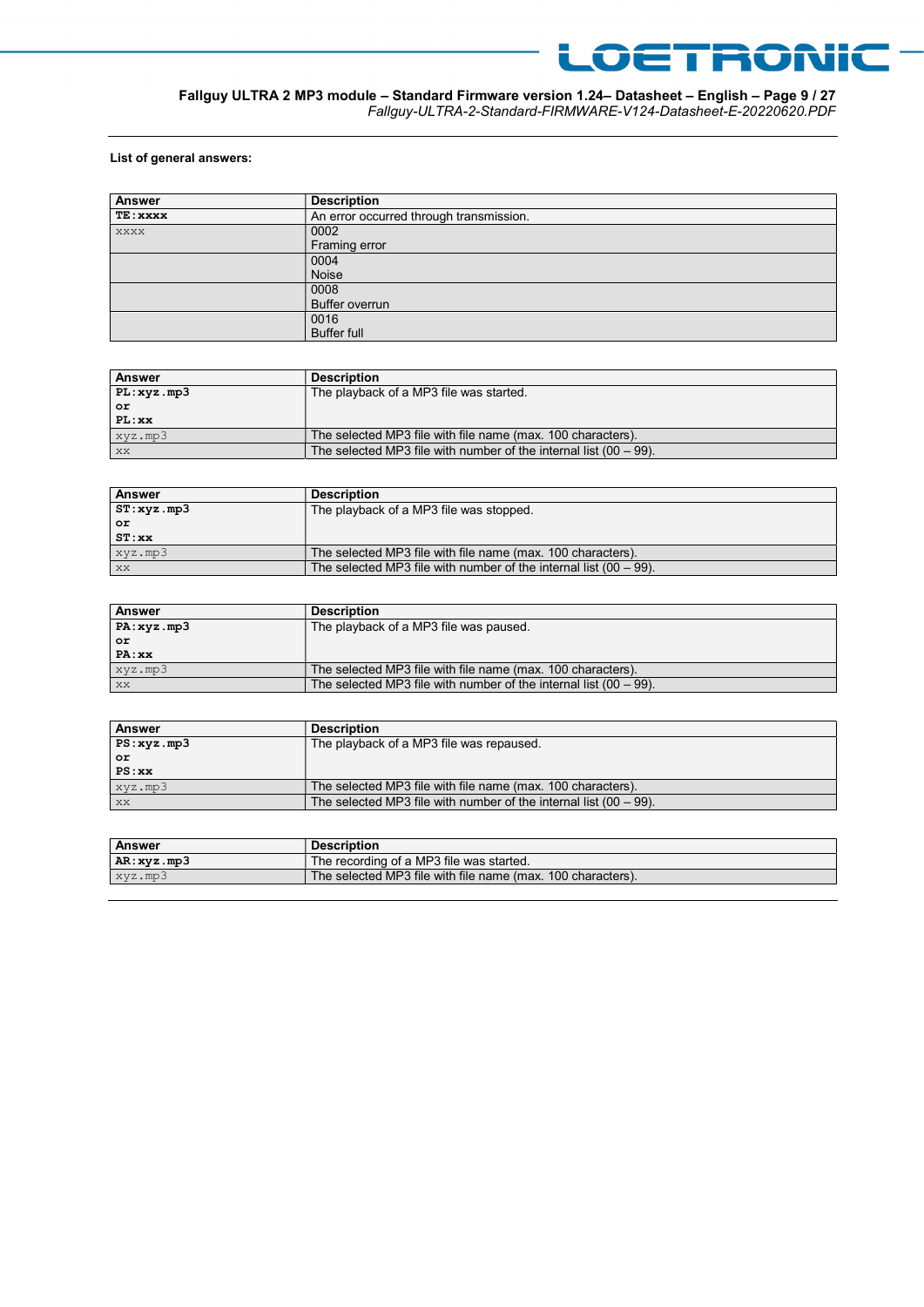

#### Fallguy ULTRA 2 MP3 module – Standard Firmware version 1.24– Datasheet – English – Page 9 / 27 Fallguy-ULTRA-2-Standard-FIRMWARE-V124-Datasheet-E-20220620.PDF

#### List of general answers:

| Answer   | <b>Description</b>                      |
|----------|-----------------------------------------|
| TE: xxxx | An error occurred through transmission. |
| XXXX     | 0002                                    |
|          | Framing error                           |
|          | 0004                                    |
|          | Noise                                   |
|          | 0008                                    |
|          | <b>Buffer overrun</b>                   |
|          | 0016                                    |
|          | Buffer full                             |

| <b>Answer</b> | <b>Description</b>                                                   |
|---------------|----------------------------------------------------------------------|
| PL:xyz.mp3    | The playback of a MP3 file was started.                              |
| or            |                                                                      |
| $PL:$ $xx$    |                                                                      |
| $xyz$ .mp3    | The selected MP3 file with file name (max. 100 characters).          |
| XX            | The selected MP3 file with number of the internal list $(00 - 99)$ . |

| <b>Answer</b> | <b>Description</b>                                                   |
|---------------|----------------------------------------------------------------------|
| ST:xyz.mp3    | The playback of a MP3 file was stopped.                              |
| or            |                                                                      |
| ST:xx         |                                                                      |
| xyz.mp3       | The selected MP3 file with file name (max. 100 characters).          |
| XX            | The selected MP3 file with number of the internal list $(00 - 99)$ . |

| <b>Answer</b> | <b>Description</b>                                                   |
|---------------|----------------------------------------------------------------------|
| PA:xyz.mp3    | The playback of a MP3 file was paused.                               |
| or            |                                                                      |
| PA:xx         |                                                                      |
| xyz.mp3       | The selected MP3 file with file name (max. 100 characters).          |
| XX            | The selected MP3 file with number of the internal list $(00 - 99)$ . |

| <b>Answer</b> | <b>Description</b>                                                   |
|---------------|----------------------------------------------------------------------|
| PS:xyz, mp3   | The playback of a MP3 file was repaused.                             |
| or            |                                                                      |
| PS:xx         |                                                                      |
| xyz.mp3       | The selected MP3 file with file name (max. 100 characters).          |
| XX            | The selected MP3 file with number of the internal list $(00 - 99)$ . |

| <b>Answer</b> | <b>Description</b>                                          |
|---------------|-------------------------------------------------------------|
| AR:xyz.mp3    | The recording of a MP3 file was started.                    |
| xyz.mp3       | The selected MP3 file with file name (max, 100 characters). |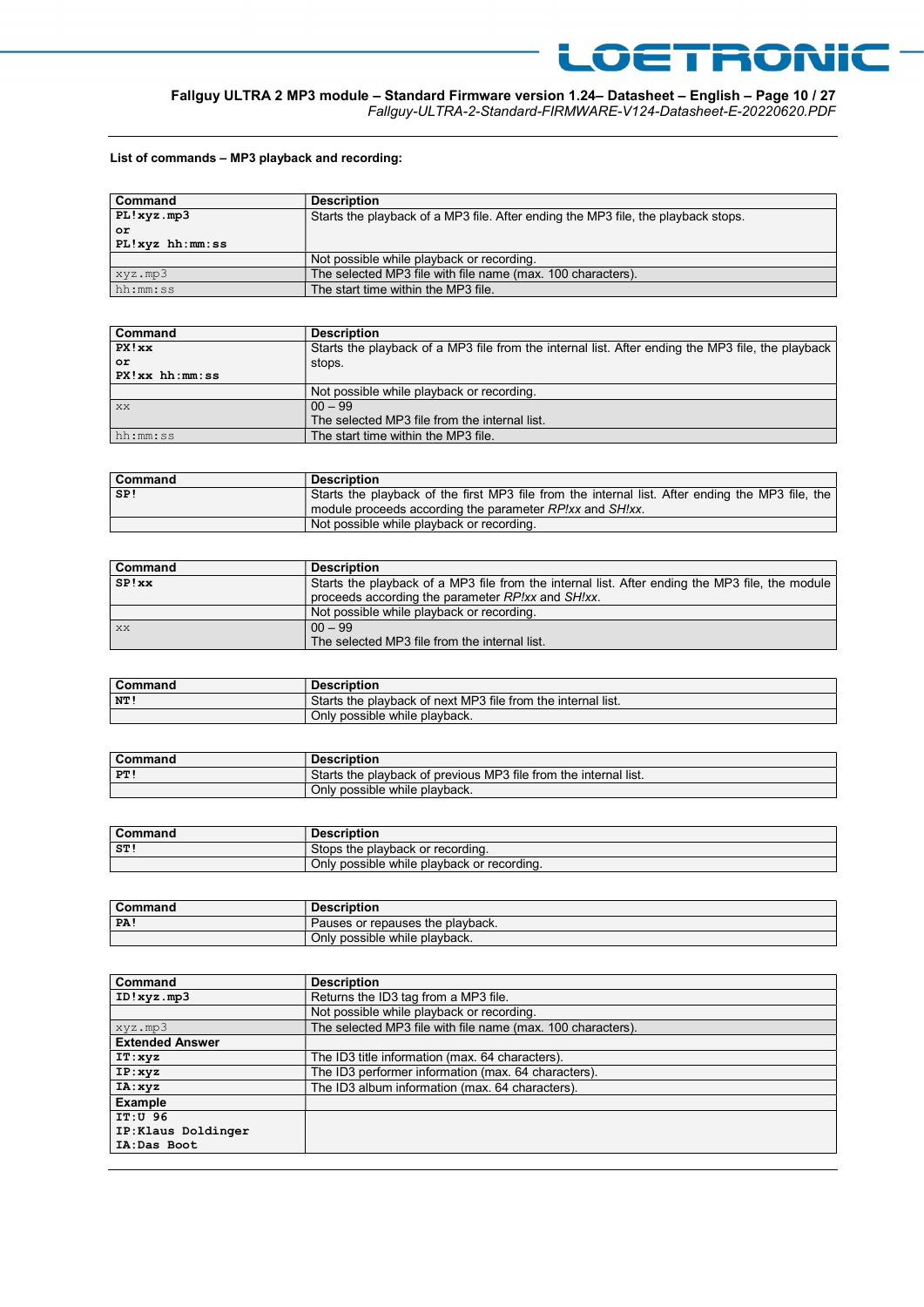

Fallguy-ULTRA-2-Standard-FIRMWARE-V124-Datasheet-E-20220620.PDF

LOETRONIC

#### List of commands – MP3 playback and recording:

| Command              | <b>Description</b>                                                                |
|----------------------|-----------------------------------------------------------------------------------|
| PL!xyz.mp3           | Starts the playback of a MP3 file. After ending the MP3 file, the playback stops. |
| or                   |                                                                                   |
| $PL!xyz$ hh: $mm:ss$ |                                                                                   |
|                      | Not possible while playback or recording.                                         |
| xyz.mp3              | The selected MP3 file with file name (max. 100 characters).                       |
| hh:mm:ss             | The start time within the MP3 file.                                               |

| Command             | <b>Description</b>                                                                                |
|---------------------|---------------------------------------------------------------------------------------------------|
| PX!xx               | Starts the playback of a MP3 file from the internal list. After ending the MP3 file, the playback |
| or                  | stops.                                                                                            |
| $PX!xx$ hh: $mm:ss$ |                                                                                                   |
|                     | Not possible while playback or recording.                                                         |
| XX                  | $00 - 99$                                                                                         |
|                     | The selected MP3 file from the internal list.                                                     |
| hh:mm:ss            | The start time within the MP3 file.                                                               |

| <b>Command</b> | <b>Description</b>                                                                               |
|----------------|--------------------------------------------------------------------------------------------------|
| SP!            | Starts the playback of the first MP3 file from the internal list. After ending the MP3 file, the |
|                | module proceeds according the parameter RP!xx and SH!xx.                                         |
|                | Not possible while playback or recording.                                                        |

| <b>Command</b> | <b>Description</b>                                                                              |
|----------------|-------------------------------------------------------------------------------------------------|
| SP!xx          | Starts the playback of a MP3 file from the internal list. After ending the MP3 file, the module |
|                | proceeds according the parameter RP!xx and SH!xx.                                               |
|                | Not possible while playback or recording.                                                       |
| XX             | $00 - 99$                                                                                       |
|                | The selected MP3 file from the internal list.                                                   |

| Command          | <b>Description</b>                                           |
|------------------|--------------------------------------------------------------|
| $N$ <sup>T</sup> | Starts the playback of next MP3 file from the internal list. |
|                  | Only<br>' possible while plavback.                           |

| Command | <b>Description</b>                                               |
|---------|------------------------------------------------------------------|
| PT!     | Starts the playback of previous MP3 file from the internal list. |
|         | Only possible while playback.                                    |

| Command        | <b>Description</b>                         |
|----------------|--------------------------------------------|
| S <sub>T</sub> | Stops the playback or recording.           |
|                | Only possible while playback or recording. |

| Command | <b>Description</b>                 |
|---------|------------------------------------|
| PA:     | . Pauses or repauses the plavback. |
|         | Only possible while playback.      |

| Command                | <b>Description</b>                                          |
|------------------------|-------------------------------------------------------------|
| ID!xyz.mp3             | Returns the ID3 tag from a MP3 file.                        |
|                        | Not possible while playback or recording.                   |
| xyz.mp3                | The selected MP3 file with file name (max. 100 characters). |
| <b>Extended Answer</b> |                                                             |
| IT:xyz                 | The ID3 title information (max. 64 characters).             |
| IP:xyz                 | The ID3 performer information (max. 64 characters).         |
| IA: xyz                | The ID3 album information (max. 64 characters).             |
| Example                |                                                             |
| IT:U 96                |                                                             |
| IP:Klaus Doldinger     |                                                             |
| IA:Das Boot            |                                                             |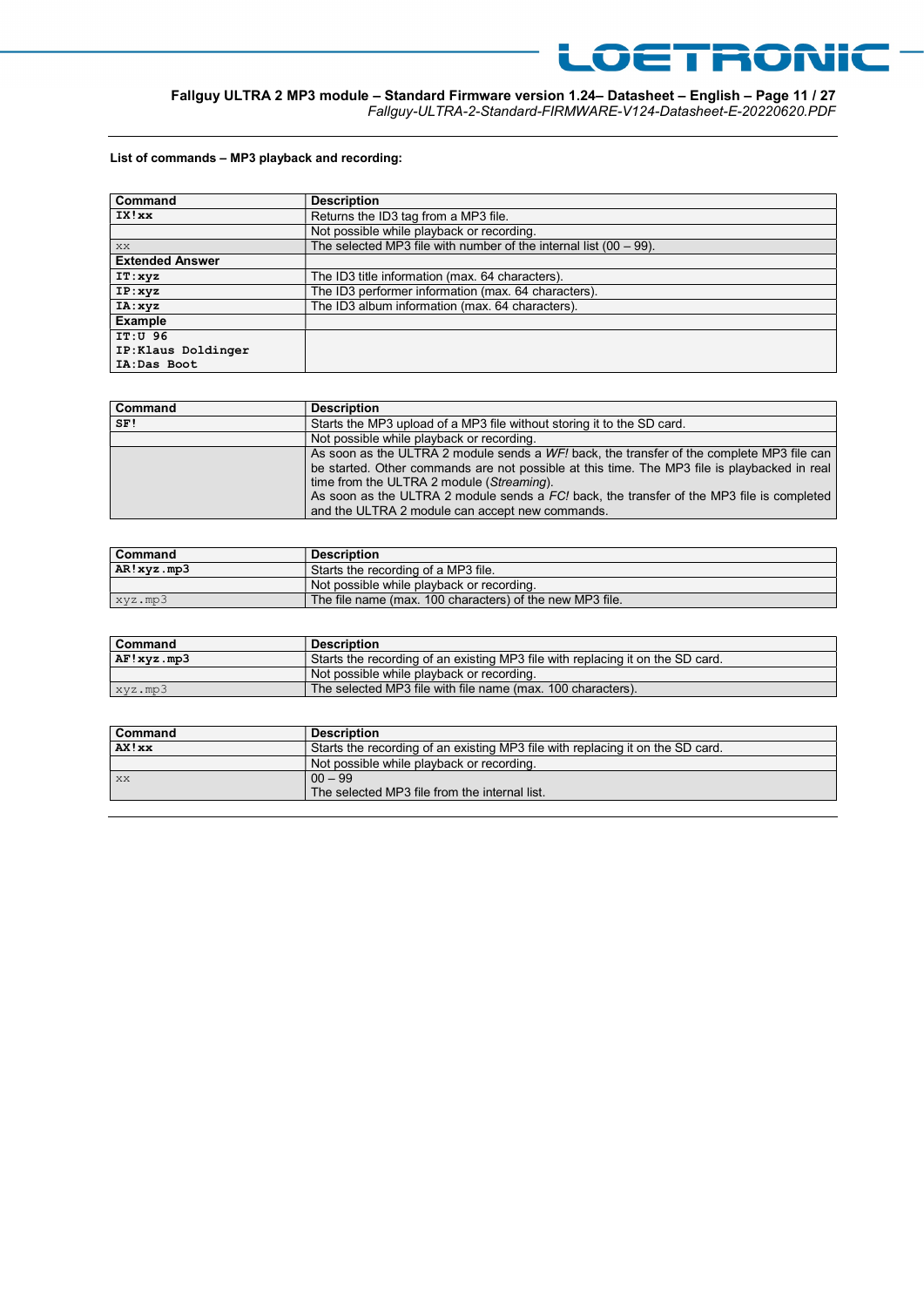

## Fallguy ULTRA 2 MP3 module – Standard Firmware version 1.24– Datasheet – English – Page 11 / 27

Fallguy-ULTRA-2-Standard-FIRMWARE-V124-Datasheet-E-20220620.PDF

#### List of commands – MP3 playback and recording:

| Command                | <b>Description</b>                                                   |
|------------------------|----------------------------------------------------------------------|
| IX!xx                  | Returns the ID3 tag from a MP3 file.                                 |
|                        | Not possible while playback or recording.                            |
| XX                     | The selected MP3 file with number of the internal list $(00 - 99)$ . |
| <b>Extended Answer</b> |                                                                      |
| IT:xyz                 | The ID3 title information (max. 64 characters).                      |
| IP:xyz                 | The ID3 performer information (max. 64 characters).                  |
| IA: xyz                | The ID3 album information (max. 64 characters).                      |
| Example                |                                                                      |
| IT:U 96                |                                                                      |
| IP:Klaus Doldinger     |                                                                      |
| IA:Das Boot            |                                                                      |

| Command | <b>Description</b>                                                                                                                                                                                                                                                                                                                                                                     |
|---------|----------------------------------------------------------------------------------------------------------------------------------------------------------------------------------------------------------------------------------------------------------------------------------------------------------------------------------------------------------------------------------------|
| SF!     | Starts the MP3 upload of a MP3 file without storing it to the SD card.                                                                                                                                                                                                                                                                                                                 |
|         | Not possible while playback or recording.                                                                                                                                                                                                                                                                                                                                              |
|         | As soon as the ULTRA 2 module sends a WF! back, the transfer of the complete MP3 file can<br>be started. Other commands are not possible at this time. The MP3 file is playbacked in real<br>time from the ULTRA 2 module (Streaming).<br>As soon as the ULTRA 2 module sends a FC! back, the transfer of the MP3 file is completed<br>and the ULTRA 2 module can accept new commands. |

| Command    | <b>Description</b>                                       |
|------------|----------------------------------------------------------|
| AR!xyz.mp3 | Starts the recording of a MP3 file.                      |
|            | Not possible while playback or recording.                |
| xyz.mp3    | The file name (max. 100 characters) of the new MP3 file. |

| <b>Command</b> | <b>Description</b>                                                             |
|----------------|--------------------------------------------------------------------------------|
| AF!xyz.mp3     | Starts the recording of an existing MP3 file with replacing it on the SD card. |
|                | Not possible while playback or recording.                                      |
| xyz.mp3        | The selected MP3 file with file name (max, 100 characters).                    |

| <b>Command</b> | <b>Description</b>                                                             |
|----------------|--------------------------------------------------------------------------------|
| AX!xx          | Starts the recording of an existing MP3 file with replacing it on the SD card. |
|                | Not possible while playback or recording.                                      |
| XX             | $00 - 99$<br>The selected MP3 file from the internal list.                     |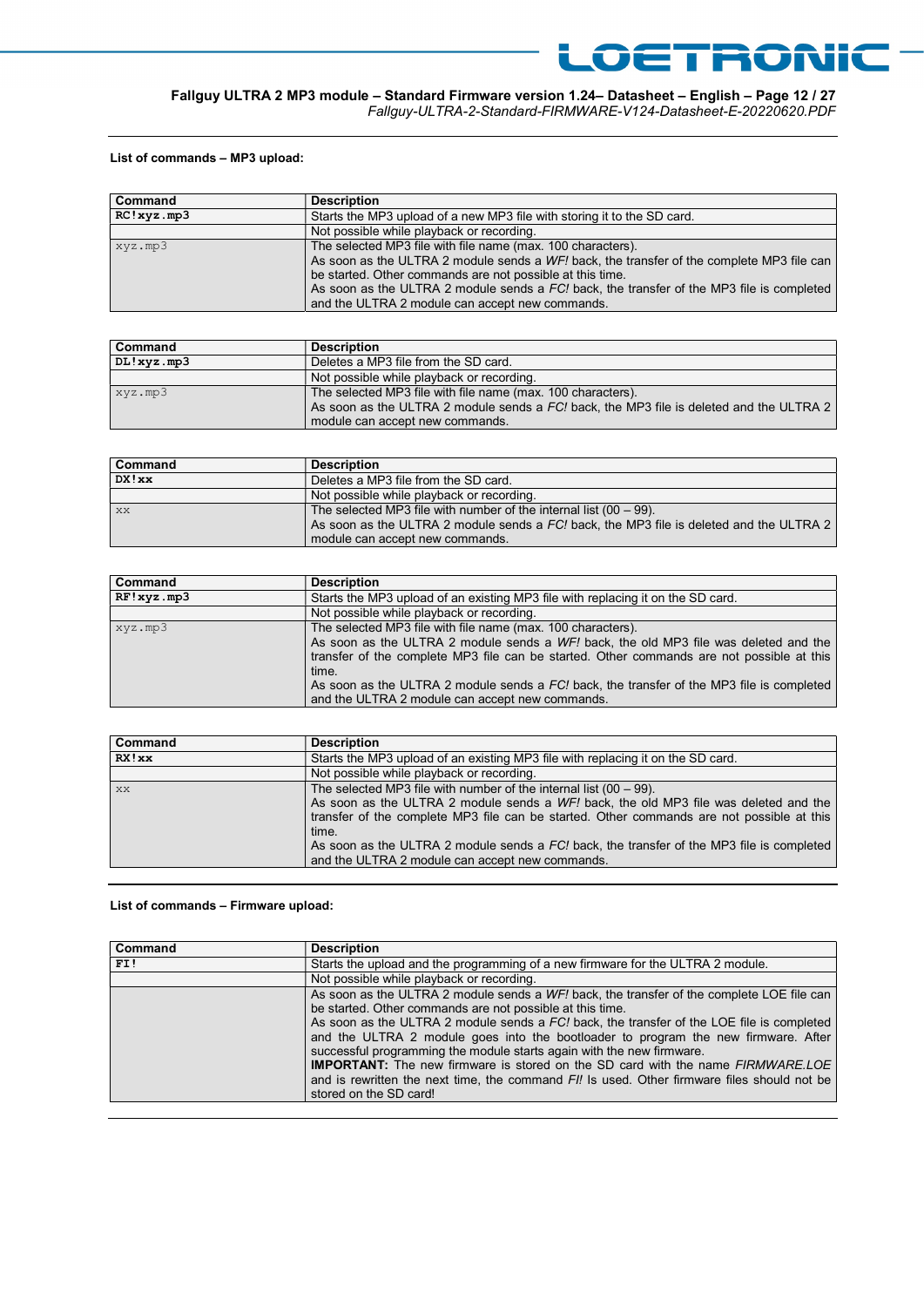

## Fallguy ULTRA 2 MP3 module – Standard Firmware version 1.24– Datasheet – English – Page 12 / 27

Fallguy-ULTRA-2-Standard-FIRMWARE-V124-Datasheet-E-20220620.PDF

#### List of commands – MP3 upload:

| Command    | <b>Description</b>                                                                                                                                                                                                                                                                                                                                                    |
|------------|-----------------------------------------------------------------------------------------------------------------------------------------------------------------------------------------------------------------------------------------------------------------------------------------------------------------------------------------------------------------------|
| RC!xyz.mp3 | Starts the MP3 upload of a new MP3 file with storing it to the SD card.                                                                                                                                                                                                                                                                                               |
|            | Not possible while playback or recording.                                                                                                                                                                                                                                                                                                                             |
| xyz.mp3    | The selected MP3 file with file name (max. 100 characters).<br>As soon as the ULTRA 2 module sends a WF! back, the transfer of the complete MP3 file can<br>be started. Other commands are not possible at this time.<br>As soon as the ULTRA 2 module sends a FC! back, the transfer of the MP3 file is completed<br>and the ULTRA 2 module can accept new commands. |

| <b>Command</b> | <b>Description</b>                                                                      |
|----------------|-----------------------------------------------------------------------------------------|
| DL!xyz.mp3     | Deletes a MP3 file from the SD card.                                                    |
|                | Not possible while playback or recording.                                               |
| xyz.mp3        | The selected MP3 file with file name (max. 100 characters).                             |
|                | As soon as the ULTRA 2 module sends a FC! back, the MP3 file is deleted and the ULTRA 2 |
|                | module can accept new commands.                                                         |

| <b>Command</b> | <b>Description</b>                                                                                                                                                                                 |
|----------------|----------------------------------------------------------------------------------------------------------------------------------------------------------------------------------------------------|
| DX!xx          | Deletes a MP3 file from the SD card.                                                                                                                                                               |
|                | Not possible while playback or recording.                                                                                                                                                          |
| XX             | The selected MP3 file with number of the internal list $(00 - 99)$ .<br>As soon as the ULTRA 2 module sends a FC! back, the MP3 file is deleted and the ULTRA 2<br>module can accept new commands. |

| Command    | <b>Description</b>                                                                                                                                                                                                                                                                                                                                                                                        |
|------------|-----------------------------------------------------------------------------------------------------------------------------------------------------------------------------------------------------------------------------------------------------------------------------------------------------------------------------------------------------------------------------------------------------------|
| RF!xyz.mp3 | Starts the MP3 upload of an existing MP3 file with replacing it on the SD card.                                                                                                                                                                                                                                                                                                                           |
|            | Not possible while playback or recording.                                                                                                                                                                                                                                                                                                                                                                 |
| xyz.mp3    | The selected MP3 file with file name (max. 100 characters).<br>As soon as the ULTRA 2 module sends a WF! back, the old MP3 file was deleted and the<br>transfer of the complete MP3 file can be started. Other commands are not possible at this<br>time.<br>As soon as the ULTRA 2 module sends a FC! back, the transfer of the MP3 file is completed<br>and the ULTRA 2 module can accept new commands. |

| Command | <b>Description</b>                                                                                                                                                                                                                                        |
|---------|-----------------------------------------------------------------------------------------------------------------------------------------------------------------------------------------------------------------------------------------------------------|
| RX! xx  | Starts the MP3 upload of an existing MP3 file with replacing it on the SD card.                                                                                                                                                                           |
|         | Not possible while playback or recording.                                                                                                                                                                                                                 |
| XX      | The selected MP3 file with number of the internal list $(00 - 99)$ .<br>As soon as the ULTRA 2 module sends a WF! back, the old MP3 file was deleted and the<br>transfer of the complete MP3 file can be started. Other commands are not possible at this |
|         | time.<br>As soon as the ULTRA 2 module sends a FC! back, the transfer of the MP3 file is completed<br>and the ULTRA 2 module can accept new commands.                                                                                                     |

#### List of commands – Firmware upload:

| Command | <b>Description</b>                                                                          |
|---------|---------------------------------------------------------------------------------------------|
| FI!     | Starts the upload and the programming of a new firmware for the ULTRA 2 module.             |
|         | Not possible while playback or recording.                                                   |
|         | As soon as the ULTRA 2 module sends a WF! back, the transfer of the complete LOE file can   |
|         | be started. Other commands are not possible at this time.                                   |
|         | As soon as the ULTRA 2 module sends a FC! back, the transfer of the LOE file is completed   |
|         | and the ULTRA 2 module goes into the bootloader to program the new firmware. After          |
|         | successful programming the module starts again with the new firmware.                       |
|         | IMPORTANT: The new firmware is stored on the SD card with the name FIRMWARE.LOE             |
|         | and is rewritten the next time, the command FI! Is used. Other firmware files should not be |
|         | stored on the SD card!                                                                      |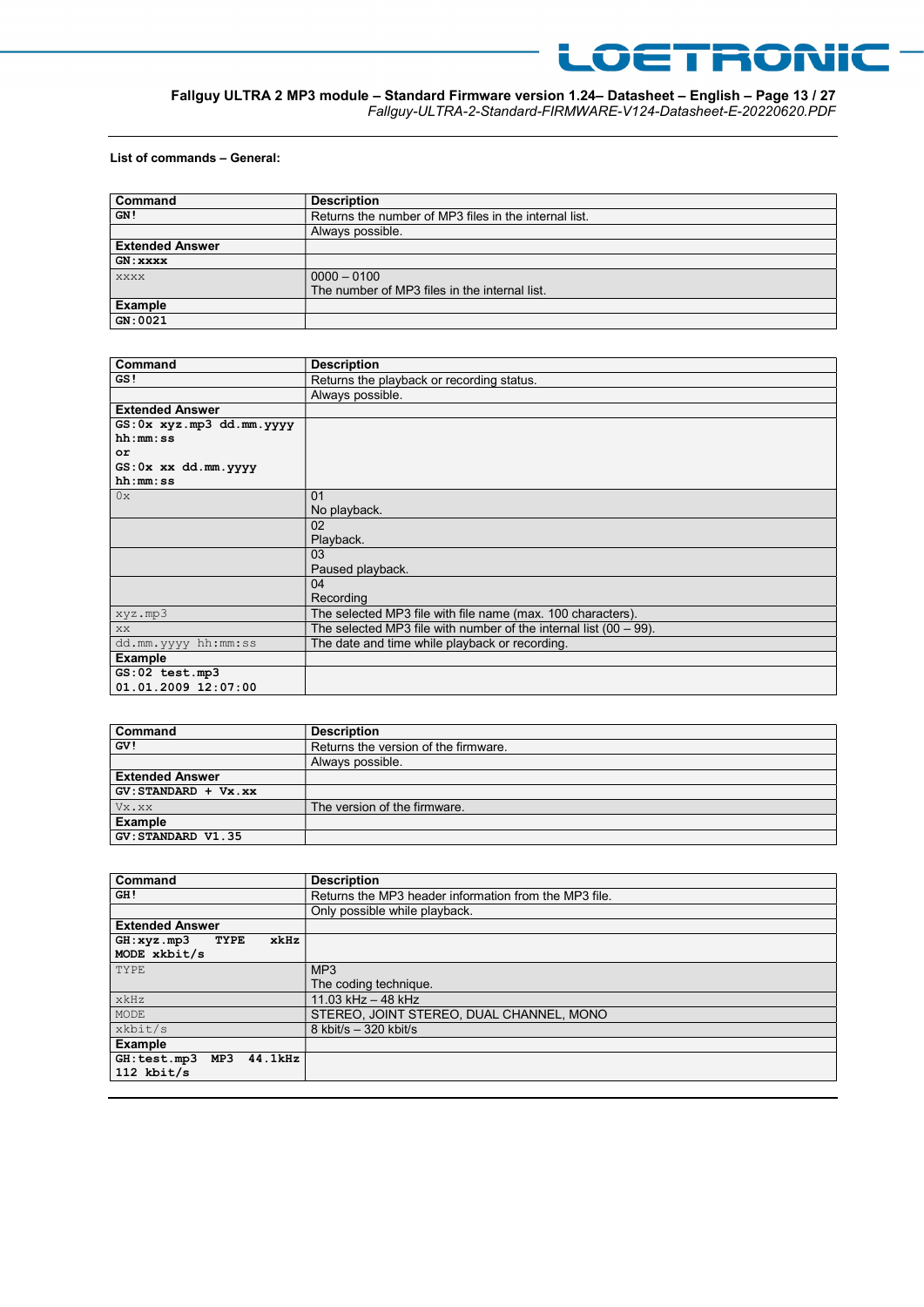

#### Fallguy ULTRA 2 MP3 module – Standard Firmware version 1.24– Datasheet – English – Page 13 / 27 Fallguy-ULTRA-2-Standard-FIRMWARE-V124-Datasheet-E-20220620.PDF

#### List of commands – General:

| Command                | <b>Description</b>                                    |
|------------------------|-------------------------------------------------------|
| GN!                    | Returns the number of MP3 files in the internal list. |
|                        | Always possible.                                      |
| <b>Extended Answer</b> |                                                       |
| GN: xxxx               |                                                       |
| <b>XXXX</b>            | $0000 - 0100$                                         |
|                        | The number of MP3 files in the internal list.         |
| Example                |                                                       |
| GN:0021                |                                                       |

| Command                          | <b>Description</b>                                                   |
|----------------------------------|----------------------------------------------------------------------|
| GS!                              | Returns the playback or recording status.                            |
|                                  | Always possible.                                                     |
| <b>Extended Answer</b>           |                                                                      |
| $GS: 0x$ $xyz.mp3$ $dd.mm.$ yyyy |                                                                      |
| hh:mm:ss                         |                                                                      |
| or                               |                                                                      |
| $GS: 0x$ $xx$ $dd.mm.$ yyyy      |                                                                      |
| hh:mm:ss                         |                                                                      |
| 0x                               | 01                                                                   |
|                                  | No playback.                                                         |
|                                  | 02                                                                   |
|                                  | Playback.                                                            |
|                                  | 03                                                                   |
|                                  | Paused playback.                                                     |
|                                  | 04                                                                   |
|                                  | Recording                                                            |
| xyz.mp3                          | The selected MP3 file with file name (max. 100 characters).          |
| XX.                              | The selected MP3 file with number of the internal list $(00 - 99)$ . |
| dd.mm.yyyy hh:mm:ss              | The date and time while playback or recording.                       |
| <b>Example</b>                   |                                                                      |
| GS:02 test.mp3                   |                                                                      |
| 01.01.2009 12:07:00              |                                                                      |

| Command                | <b>Description</b>                   |
|------------------------|--------------------------------------|
| GV!                    | Returns the version of the firmware. |
|                        | Always possible.                     |
| <b>Extended Answer</b> |                                      |
| $GV:STANDARD + Vx.xx$  |                                      |
| Vx.xx                  | The version of the firmware.         |
| <b>Example</b>         |                                      |
| GV: STANDARD V1.35     |                                      |

| Command                                           | <b>Description</b>                                    |
|---------------------------------------------------|-------------------------------------------------------|
| GH!                                               | Returns the MP3 header information from the MP3 file. |
|                                                   | Only possible while playback.                         |
| <b>Extended Answer</b>                            |                                                       |
| GH:xyz.mp3<br>TYPE<br>xkHz                        |                                                       |
| MODE xkbit/s                                      |                                                       |
| TYPE                                              | MP <sub>3</sub>                                       |
|                                                   | The coding technique.                                 |
| xkHz                                              | 11.03 kHz - 48 kHz                                    |
| MODE                                              | STEREO, JOINT STEREO, DUAL CHANNEL, MONO              |
| xkbit/s                                           | 8 kbit/s $-320$ kbit/s                                |
| <b>Example</b>                                    |                                                       |
| $44.1$ k $Hz$<br>GH: test.mp3 MP3<br>$112$ kbit/s |                                                       |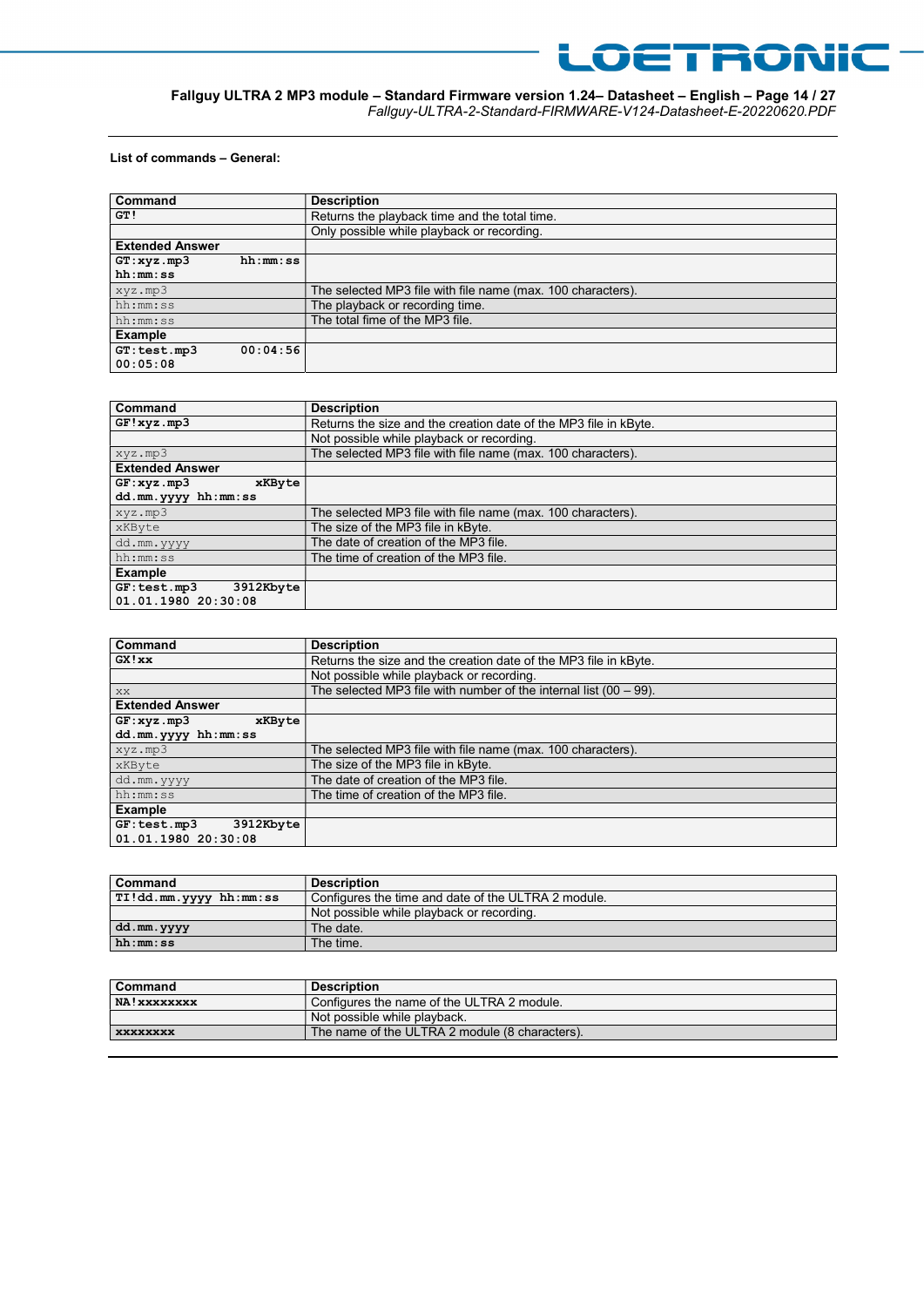

#### Fallguy ULTRA 2 MP3 module – Standard Firmware version 1.24– Datasheet – English – Page 14 / 27 Fallguy-ULTRA-2-Standard-FIRMWARE-V124-Datasheet-E-20220620.PDF

#### List of commands – General:

| Command                |          | <b>Description</b>                                          |
|------------------------|----------|-------------------------------------------------------------|
| GT!                    |          | Returns the playback time and the total time.               |
|                        |          | Only possible while playback or recording.                  |
| <b>Extended Answer</b> |          |                                                             |
| GT:xyz.mp3             | hh:mm:ss |                                                             |
| hh:mm:ss               |          |                                                             |
| xyz.mp3                |          | The selected MP3 file with file name (max. 100 characters). |
| hh:mm:ss               |          | The playback or recording time.                             |
| hh:mm:ss               |          | The total fime of the MP3 file.                             |
| Example                |          |                                                             |
| GT: test.mp3           | 00:04:56 |                                                             |
| 00:05:08               |          |                                                             |

| Command                  | <b>Description</b>                                               |
|--------------------------|------------------------------------------------------------------|
| GF!xyz.mp3               | Returns the size and the creation date of the MP3 file in kByte. |
|                          | Not possible while playback or recording.                        |
| xyz.mp3                  | The selected MP3 file with file name (max. 100 characters).      |
| <b>Extended Answer</b>   |                                                                  |
| GF:xyz.mp3<br>xKByte     |                                                                  |
| dd.mm.yyyy hh:mm:ss      |                                                                  |
| xyz.mp3                  | The selected MP3 file with file name (max. 100 characters).      |
| xKByte                   | The size of the MP3 file in kByte.                               |
| dd.mm.yyyy               | The date of creation of the MP3 file.                            |
| hh:mm:ss                 | The time of creation of the MP3 file.                            |
| <b>Example</b>           |                                                                  |
| 3912Kbyte<br>GF:test.mp3 |                                                                  |
| 01.01.1980 20:30:08      |                                                                  |

| Command                   | <b>Description</b>                                                   |
|---------------------------|----------------------------------------------------------------------|
| GX!xx                     | Returns the size and the creation date of the MP3 file in kByte.     |
|                           | Not possible while playback or recording.                            |
| XX.                       | The selected MP3 file with number of the internal list $(00 - 99)$ . |
| <b>Extended Answer</b>    |                                                                      |
| GF:xyz.mp3<br>xKByte      |                                                                      |
| dd.mm.yyyy hh:mm:ss       |                                                                      |
| xyz.mp3                   | The selected MP3 file with file name (max. 100 characters).          |
| xKByte                    | The size of the MP3 file in kByte.                                   |
| dd.mm.yyyy                | The date of creation of the MP3 file.                                |
| hh:mm:ss                  | The time of creation of the MP3 file.                                |
| <b>Example</b>            |                                                                      |
| 3912Kbyte<br>GF: test.mp3 |                                                                      |
| 01.01.1980 20:30:08       |                                                                      |

| Command                | <b>Description</b>                                  |
|------------------------|-----------------------------------------------------|
| TI!dd.mm.yyyy hh:mm:ss | Configures the time and date of the ULTRA 2 module. |
|                        | Not possible while playback or recording.           |
| dd.mm.yyyy             | The date.                                           |
| hh:mm:ss               | The time.                                           |

| <b>Description</b>                             |
|------------------------------------------------|
| Configures the name of the ULTRA 2 module.     |
| Not possible while playback.                   |
| The name of the ULTRA 2 module (8 characters). |
|                                                |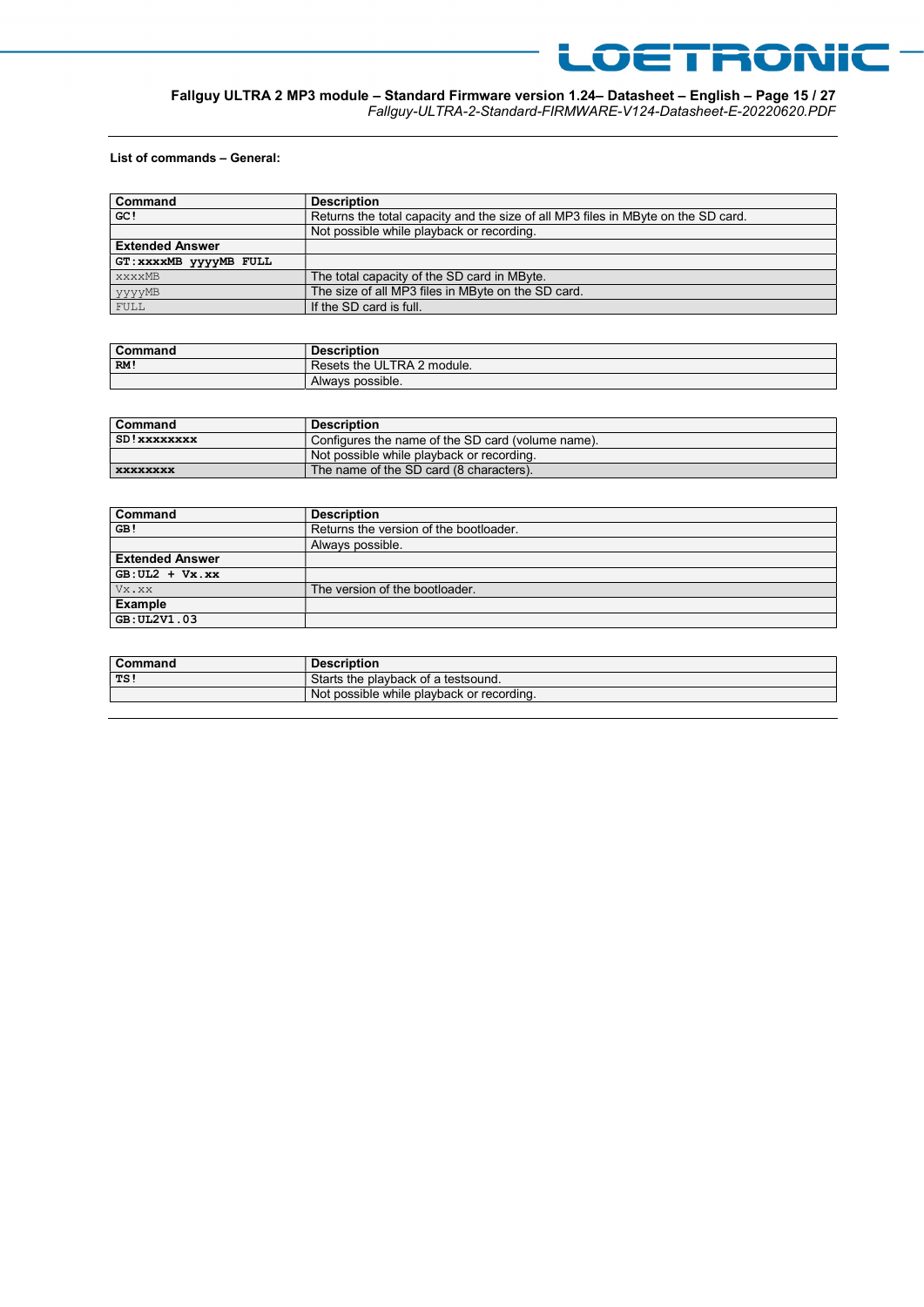

#### Fallguy ULTRA 2 MP3 module – Standard Firmware version 1.24– Datasheet – English – Page 15 / 27 Fallguy-ULTRA-2-Standard-FIRMWARE-V124-Datasheet-E-20220620.PDF

#### List of commands – General:

| <b>Command</b>         | <b>Description</b>                                                                |
|------------------------|-----------------------------------------------------------------------------------|
| GC!                    | Returns the total capacity and the size of all MP3 files in MByte on the SD card. |
|                        | Not possible while playback or recording.                                         |
| <b>Extended Answer</b> |                                                                                   |
| GT: XXXXMB YYYYMB FULL |                                                                                   |
| <b>XXXXMB</b>          | The total capacity of the SD card in MByte.                                       |
| уууумв                 | The size of all MP3 files in MByte on the SD card.                                |
| FULL                   | If the SD card is full.                                                           |

| Command | <b>Description</b>         |
|---------|----------------------------|
| ∣RM!    | Resets the ULTRA 2 module. |
|         | Always possible.           |

| Command         | <b>Description</b>                                |
|-----------------|---------------------------------------------------|
| SD!xxxxxxxx     | Configures the name of the SD card (volume name). |
|                 | Not possible while playback or recording.         |
| <b>XXXXXXXX</b> | The name of the SD card (8 characters).           |

| <b>Command</b>         | <b>Description</b>                     |
|------------------------|----------------------------------------|
| GB!                    | Returns the version of the bootloader. |
|                        | Always possible.                       |
| <b>Extended Answer</b> |                                        |
| $G\{B:UL2 + Vx.xx\}$   |                                        |
| Vx.xx                  | The version of the bootloader.         |
| <b>Example</b>         |                                        |
| GB: UL2V1.03           |                                        |

| Command | <b>Description</b>                        |
|---------|-------------------------------------------|
| TS!     | Starts the playback of a testsound.       |
|         | Not possible while playback or recording. |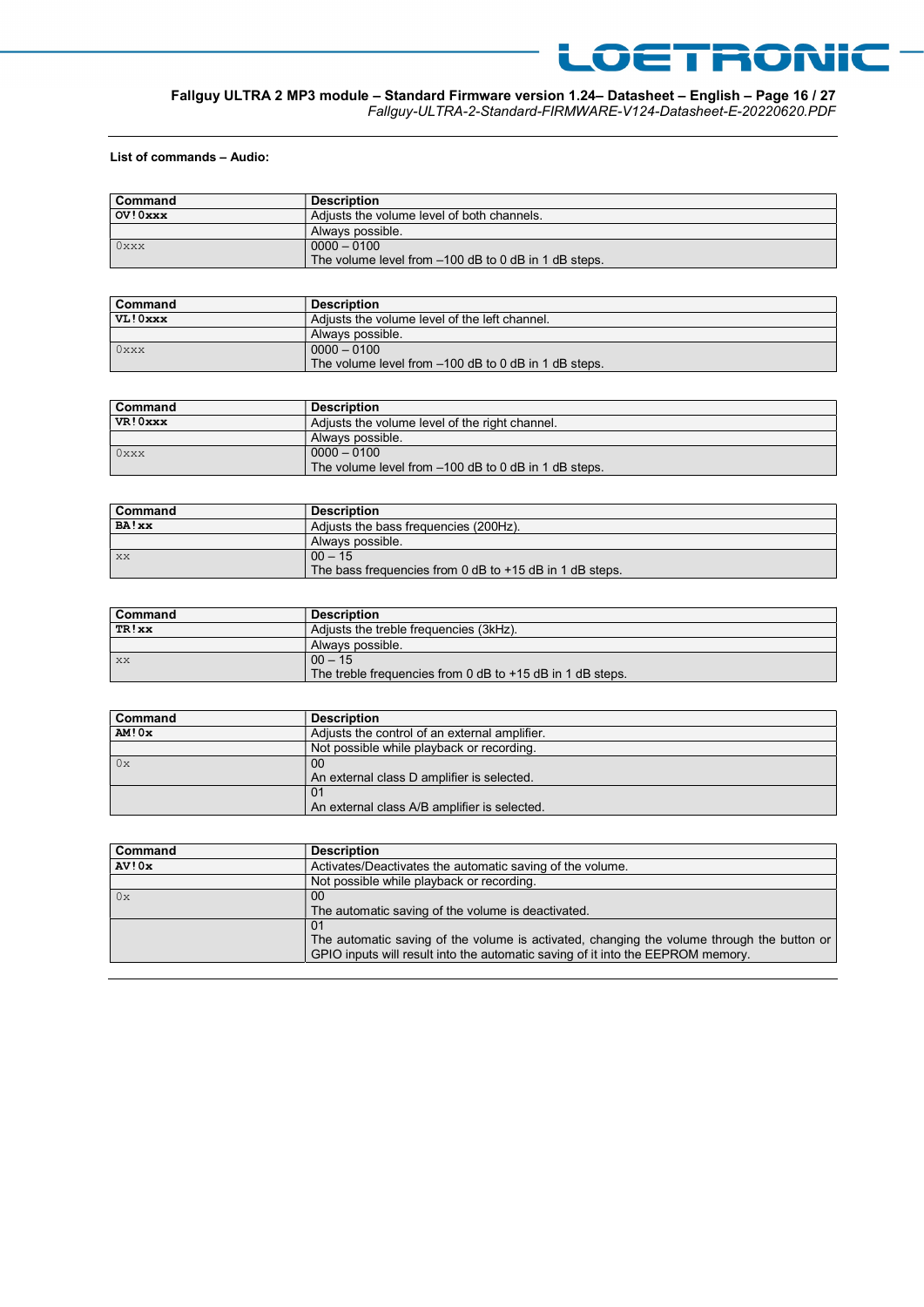

#### Fallguy ULTRA 2 MP3 module – Standard Firmware version 1.24– Datasheet – English – Page 16 / 27 Fallguy-ULTRA-2-Standard-FIRMWARE-V124-Datasheet-E-20220620.PDF

List of commands – Audio:

| <b>Command</b> | <b>Description</b>                                   |
|----------------|------------------------------------------------------|
| OV! 0xxx       | Adjusts the volume level of both channels.           |
|                | Always possible.                                     |
| $0$ xxx        | $0000 - 0100$                                        |
|                | The volume level from -100 dB to 0 dB in 1 dB steps. |

| <b>Command</b> | <b>Description</b>                                   |
|----------------|------------------------------------------------------|
| VL!Oxxx        | Adjusts the volume level of the left channel.        |
|                | Always possible.                                     |
| $0$ xxx        | $0000 - 0100$                                        |
|                | The volume level from -100 dB to 0 dB in 1 dB steps. |

| Command  | <b>Description</b>                                   |
|----------|------------------------------------------------------|
| VR! 0xxx | Adjusts the volume level of the right channel.       |
|          | Always possible.                                     |
| $0$ xxx  | $0000 - 0100$                                        |
|          | The volume level from -100 dB to 0 dB in 1 dB steps. |

| Command | <b>Description</b>                                      |
|---------|---------------------------------------------------------|
| BA!xx   | Adiusts the bass frequencies (200Hz).                   |
|         | Always possible.                                        |
| XX      | $00 - 15$                                               |
|         | The bass frequencies from 0 dB to +15 dB in 1 dB steps. |

| <b>Command</b> | <b>Description</b>                                        |
|----------------|-----------------------------------------------------------|
| TR!xx          | Adjusts the treble frequencies (3kHz).                    |
|                | Always possible.                                          |
| XX             | $00 - 15$                                                 |
|                | The treble frequencies from 0 dB to +15 dB in 1 dB steps. |

| Command | <b>Description</b>                            |
|---------|-----------------------------------------------|
| AM!0x   | Adjusts the control of an external amplifier. |
|         | Not possible while playback or recording.     |
| 0x      | 00                                            |
|         | An external class D amplifier is selected.    |
|         | -01                                           |
|         | An external class A/B amplifier is selected.  |

| Command | <b>Description</b>                                                                                                                                                            |
|---------|-------------------------------------------------------------------------------------------------------------------------------------------------------------------------------|
| AV!0x   | Activates/Deactivates the automatic saving of the volume.                                                                                                                     |
|         | Not possible while playback or recording.                                                                                                                                     |
| 0x      | 00                                                                                                                                                                            |
|         | The automatic saving of the volume is deactivated.                                                                                                                            |
|         | 01                                                                                                                                                                            |
|         | The automatic saving of the volume is activated, changing the volume through the button or<br>GPIO inputs will result into the automatic saving of it into the EEPROM memory. |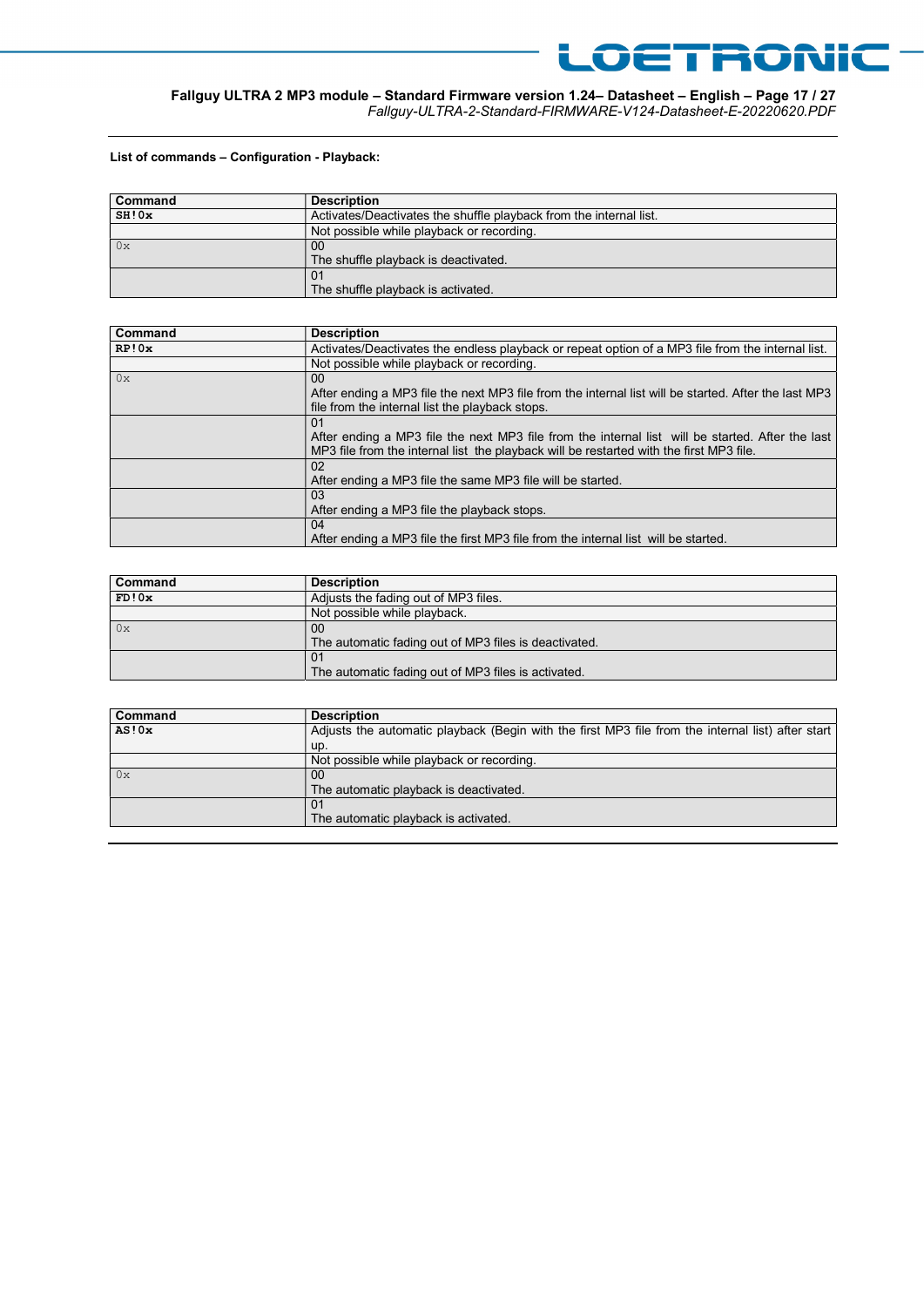

## Fallguy ULTRA 2 MP3 module – Standard Firmware version 1.24– Datasheet – English – Page 17 / 27

Fallguy-ULTRA-2-Standard-FIRMWARE-V124-Datasheet-E-20220620.PDF

#### List of commands – Configuration - Playback:

| Command | <b>Description</b>                                                 |
|---------|--------------------------------------------------------------------|
| SH!0x   | Activates/Deactivates the shuffle playback from the internal list. |
|         | Not possible while playback or recording.                          |
| 0x      | 00                                                                 |
|         | The shuffle playback is deactivated.                               |
|         | . 01                                                               |
|         | The shuffle playback is activated.                                 |

| Command | <b>Description</b>                                                                                   |
|---------|------------------------------------------------------------------------------------------------------|
| RP!0x   | Activates/Deactivates the endless playback or repeat option of a MP3 file from the internal list.    |
|         | Not possible while playback or recording.                                                            |
| 0x      | 00 <sup>1</sup>                                                                                      |
|         | After ending a MP3 file the next MP3 file from the internal list will be started. After the last MP3 |
|         | file from the internal list the playback stops.                                                      |
|         | 01                                                                                                   |
|         | After ending a MP3 file the next MP3 file from the internal list will be started. After the last     |
|         | MP3 file from the internal list the playback will be restarted with the first MP3 file.              |
|         | 02                                                                                                   |
|         | After ending a MP3 file the same MP3 file will be started.                                           |
|         | 03                                                                                                   |
|         | After ending a MP3 file the playback stops.                                                          |
|         | 04                                                                                                   |
|         | After ending a MP3 file the first MP3 file from the internal list will be started.                   |

| Command | <b>Description</b>                                    |
|---------|-------------------------------------------------------|
| FD!0x   | Adjusts the fading out of MP3 files.                  |
|         | Not possible while playback.                          |
| 0x      | 00                                                    |
|         | The automatic fading out of MP3 files is deactivated. |
|         | 01                                                    |
|         | The automatic fading out of MP3 files is activated.   |

| Command | <b>Description</b>                                                                                |
|---------|---------------------------------------------------------------------------------------------------|
| AS!0x   | Adjusts the automatic playback (Begin with the first MP3 file from the internal list) after start |
|         | up.                                                                                               |
|         | Not possible while playback or recording.                                                         |
| 0x      | 00                                                                                                |
|         | The automatic playback is deactivated.                                                            |
|         | 01                                                                                                |
|         | The automatic playback is activated.                                                              |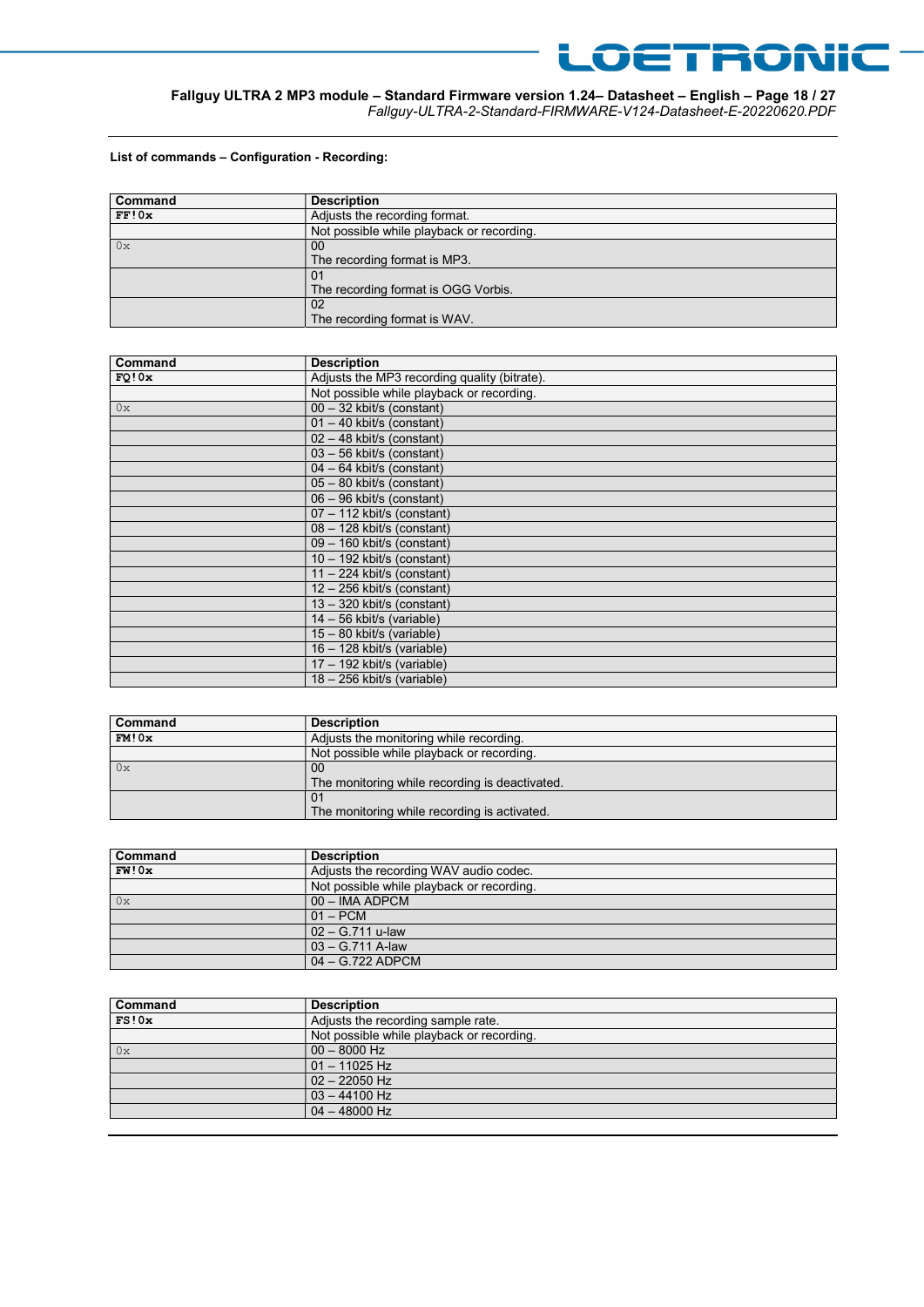

## Fallguy ULTRA 2 MP3 module – Standard Firmware version 1.24– Datasheet – English – Page 18 / 27

Fallguy-ULTRA-2-Standard-FIRMWARE-V124-Datasheet-E-20220620.PDF

#### List of commands – Configuration - Recording:

| Command | <b>Description</b>                        |
|---------|-------------------------------------------|
| FF!0x   | Adjusts the recording format.             |
|         | Not possible while playback or recording. |
| 0x      | 00                                        |
|         | The recording format is MP3.              |
|         | 01                                        |
|         | The recording format is OGG Vorbis.       |
|         | 02                                        |
|         | The recording format is WAV.              |

| Command | <b>Description</b>                           |
|---------|----------------------------------------------|
| FO!0x   | Adjusts the MP3 recording quality (bitrate). |
|         | Not possible while playback or recording.    |
| 0x      | 00 - 32 kbit/s (constant)                    |
|         | $01 - 40$ kbit/s (constant)                  |
|         | 02 - 48 kbit/s (constant)                    |
|         | 03 - 56 kbit/s (constant)                    |
|         | $04 - 64$ kbit/s (constant)                  |
|         | 05 - 80 kbit/s (constant)                    |
|         | 06 - 96 kbit/s (constant)                    |
|         | 07 - 112 kbit/s (constant)                   |
|         | 08 - 128 kbit/s (constant)                   |
|         | 09 - 160 kbit/s (constant)                   |
|         | $10 - 192$ kbit/s (constant)                 |
|         | $11 - 224$ kbit/s (constant)                 |
|         | $12 - 256$ kbit/s (constant)                 |
|         | $13 - 320$ kbit/s (constant)                 |
|         | $14 - 56$ kbit/s (variable)                  |
|         | 15 - 80 kbit/s (variable)                    |
|         | $16 - 128$ kbit/s (variable)                 |
|         | 17 - 192 kbit/s (variable)                   |
|         | 18 - 256 kbit/s (variable)                   |

| Command | <b>Description</b>                             |
|---------|------------------------------------------------|
| FM!0x   | Adjusts the monitoring while recording.        |
|         | Not possible while playback or recording.      |
| 0x      | 00                                             |
|         | The monitoring while recording is deactivated. |
|         | 0 <sup>1</sup>                                 |
|         | The monitoring while recording is activated.   |

| Command | <b>Description</b>                        |
|---------|-------------------------------------------|
| FW!0x   | Adjusts the recording WAV audio codec.    |
|         | Not possible while playback or recording. |
| 0x      | 00 - IMA ADPCM                            |
|         | $01 - PCM$                                |
|         | $02 - G.711$ u-law                        |
|         | $03 - G.711$ A-law                        |
|         | $04 - G.722$ ADPCM                        |

| <b>Description</b>                        |
|-------------------------------------------|
| Adjusts the recording sample rate.        |
| Not possible while playback or recording. |
| $00 - 8000$ Hz                            |
| $01 - 11025$ Hz                           |
| $02 - 22050$ Hz                           |
| $03 - 44100$ Hz                           |
| $04 - 48000$ Hz                           |
|                                           |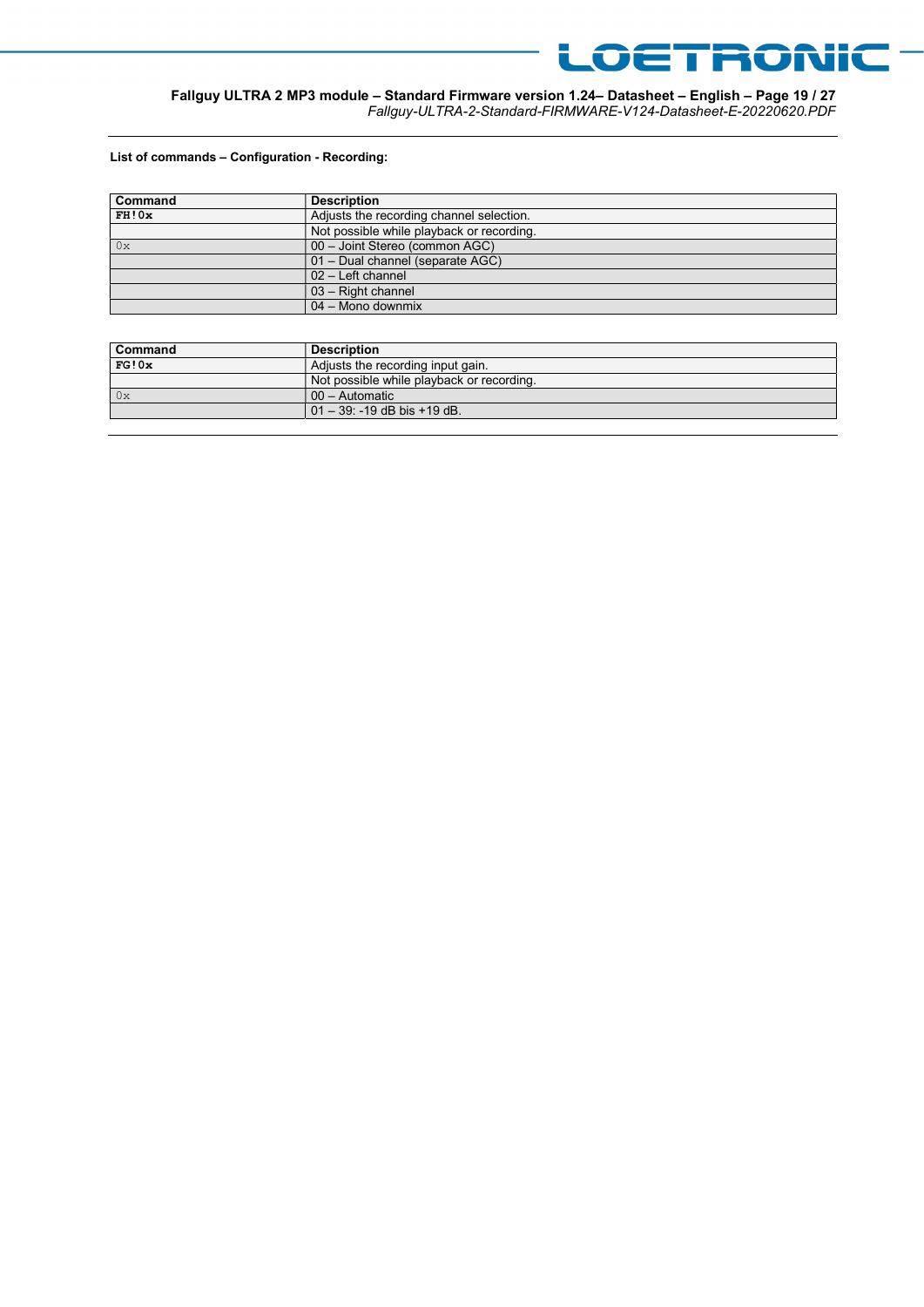

#### Fallguy ULTRA 2 MP3 module – Standard Firmware version 1.24– Datasheet – English – Page 19 / 27 Fallguy-ULTRA-2-Standard-FIRMWARE-V124-Datasheet-E-20220620.PDF

#### List of commands – Configuration - Recording:

| Command | <b>Description</b>                        |
|---------|-------------------------------------------|
| FH!0x   | Adjusts the recording channel selection.  |
|         | Not possible while playback or recording. |
| 0x      | 00 - Joint Stereo (common AGC)            |
|         | 01 - Dual channel (separate AGC)          |
|         | 02 - Left channel                         |
|         | $03$ – Right channel                      |
|         | 04 - Mono downmix                         |

| Command   | <b>Description</b>                        |
|-----------|-------------------------------------------|
| FG!0x     | Adjusts the recording input gain.         |
|           | Not possible while playback or recording. |
| $\int 0x$ | $00 -$ Automatic                          |
|           | $01 - 39$ : -19 dB bis +19 dB.            |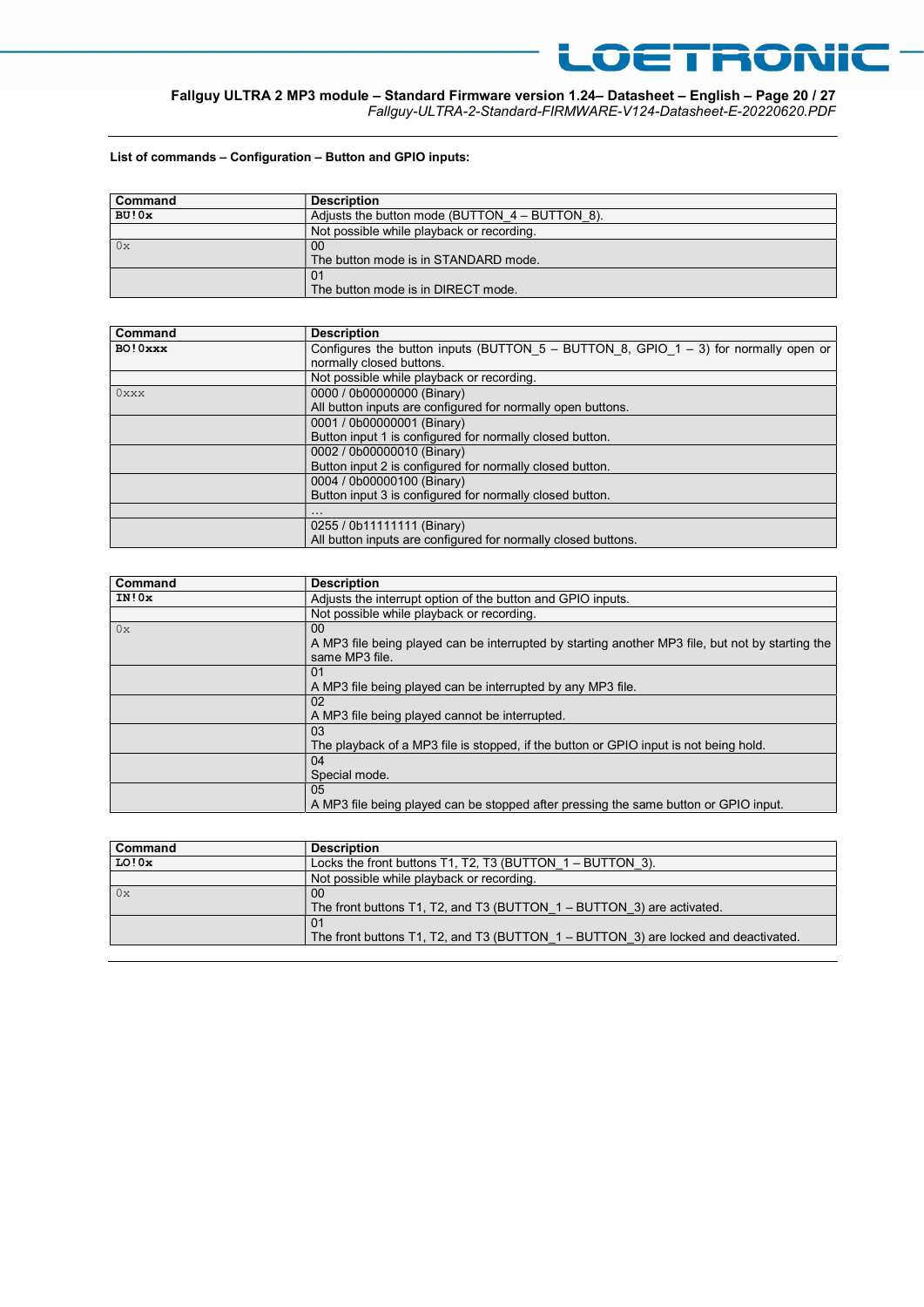## Fallguy ULTRA 2 MP3 module – Standard Firmware version 1.24– Datasheet – English – Page 20 / 27

Fallguy-ULTRA-2-Standard-FIRMWARE-V124-Datasheet-E-20220620.PDF

LOETRONIC

#### List of commands – Configuration – Button and GPIO inputs:

| Command | <b>Description</b>                               |
|---------|--------------------------------------------------|
| BU!0x   | Adjusts the button mode (BUTTON $4 - BUTTON$ 8). |
|         | Not possible while playback or recording.        |
| 0x      | 00                                               |
|         | The button mode is in STANDARD mode.             |
|         | 01                                               |
|         | The button mode is in DIRECT mode.               |

| Command  | <b>Description</b>                                                                       |
|----------|------------------------------------------------------------------------------------------|
| BO! 0xxx | Configures the button inputs (BUTTON $5 -$ BUTTON 8, GPIO $1 - 3$ ) for normally open or |
|          | normally closed buttons.                                                                 |
|          | Not possible while playback or recording.                                                |
| $0$ xxx  | 0000 / 0b00000000 (Binary)                                                               |
|          | All button inputs are configured for normally open buttons.                              |
|          | 0001 / 0b00000001 (Binary)                                                               |
|          | Button input 1 is configured for normally closed button.                                 |
|          | 0002 / 0b00000010 (Binary)                                                               |
|          | Button input 2 is configured for normally closed button.                                 |
|          | 0004 / 0b00000100 (Binary)                                                               |
|          | Button input 3 is configured for normally closed button.                                 |
|          | $\cdots$                                                                                 |
|          | 0255 / 0b11111111 (Binary)                                                               |
|          | All button inputs are configured for normally closed buttons.                            |

| Command | <b>Description</b>                                                                                                                    |
|---------|---------------------------------------------------------------------------------------------------------------------------------------|
| IN!0x   | Adjusts the interrupt option of the button and GPIO inputs.                                                                           |
|         | Not possible while playback or recording.                                                                                             |
| 0x      | 00 <sup>°</sup><br>A MP3 file being played can be interrupted by starting another MP3 file, but not by starting the<br>same MP3 file. |
|         | 01<br>A MP3 file being played can be interrupted by any MP3 file.                                                                     |
|         | 02<br>A MP3 file being played cannot be interrupted.                                                                                  |
|         | 03<br>The playback of a MP3 file is stopped, if the button or GPIO input is not being hold.                                           |
|         | 04<br>Special mode.                                                                                                                   |
|         | 05<br>A MP3 file being played can be stopped after pressing the same button or GPIO input.                                            |

| Command | <b>Description</b>                                                                 |
|---------|------------------------------------------------------------------------------------|
| LO!0x   | Locks the front buttons T1, T2, T3 (BUTTON $1 - BUTTON$ 3).                        |
|         | Not possible while playback or recording.                                          |
| $\log$  | 00                                                                                 |
|         | The front buttons T1, T2, and T3 (BUTTON 1 – BUTTON 3) are activated.              |
|         | 01                                                                                 |
|         | The front buttons T1, T2, and T3 (BUTTON 1 – BUTTON 3) are locked and deactivated. |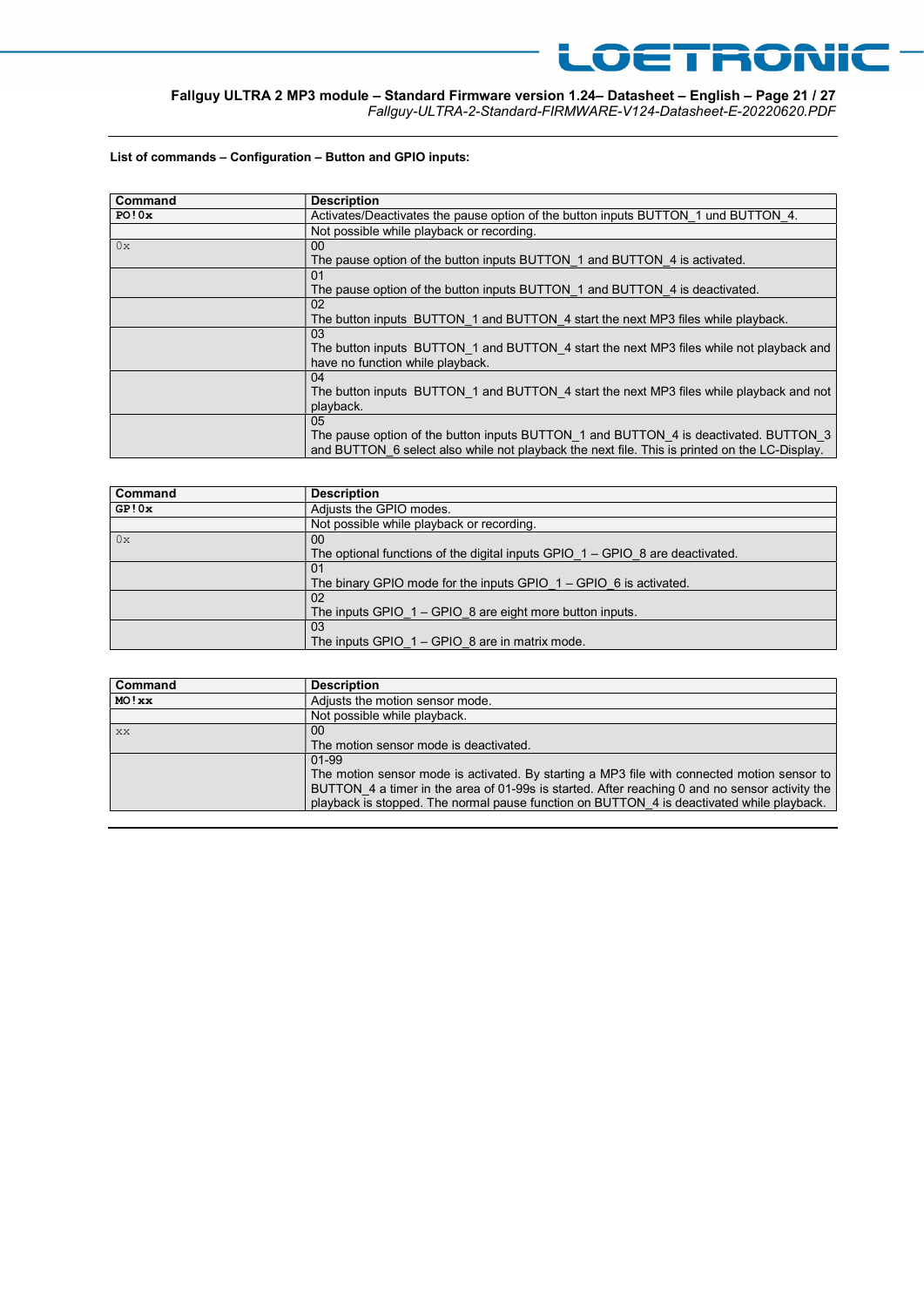## Fallguy ULTRA 2 MP3 module – Standard Firmware version 1.24– Datasheet – English – Page 21 / 27

Fallguy-ULTRA-2-Standard-FIRMWARE-V124-Datasheet-E-20220620.PDF

LOETRONIC

#### List of commands – Configuration – Button and GPIO inputs:

| Command | <b>Description</b>                                                                                                                                                                           |
|---------|----------------------------------------------------------------------------------------------------------------------------------------------------------------------------------------------|
| PO!0x   | Activates/Deactivates the pause option of the button inputs BUTTON 1 und BUTTON 4.                                                                                                           |
|         | Not possible while playback or recording.                                                                                                                                                    |
| 0x      | 00 <sup>°</sup><br>The pause option of the button inputs BUTTON 1 and BUTTON 4 is activated.                                                                                                 |
|         | 01<br>The pause option of the button inputs BUTTON 1 and BUTTON 4 is deactivated.                                                                                                            |
|         | 02<br>The button inputs BUTTON 1 and BUTTON 4 start the next MP3 files while playback.                                                                                                       |
|         | 0 <sub>3</sub><br>The button inputs BUTTON 1 and BUTTON 4 start the next MP3 files while not playback and<br>have no function while playback.                                                |
|         | 04<br>The button inputs BUTTON 1 and BUTTON 4 start the next MP3 files while playback and not<br>playback.                                                                                   |
|         | 0.5<br>The pause option of the button inputs BUTTON 1 and BUTTON 4 is deactivated. BUTTON 3<br>and BUTTON 6 select also while not playback the next file. This is printed on the LC-Display. |

| Command | <b>Description</b>                                                              |
|---------|---------------------------------------------------------------------------------|
| GP!0x   | Adjusts the GPIO modes.                                                         |
|         | Not possible while playback or recording.                                       |
| 0x      | 00                                                                              |
|         | The optional functions of the digital inputs GPIO $1 -$ GPIO 8 are deactivated. |
|         | 01                                                                              |
|         | The binary GPIO mode for the inputs GPIO $1 -$ GPIO 6 is activated.             |
|         | 02                                                                              |
|         | The inputs GPIO $1 -$ GPIO 8 are eight more button inputs.                      |
|         | 03                                                                              |
|         | The inputs GPIO $1 -$ GPIO 8 are in matrix mode.                                |

| Command | <b>Description</b>                                                                             |
|---------|------------------------------------------------------------------------------------------------|
| MO! xx  | Adjusts the motion sensor mode.                                                                |
|         | Not possible while playback.                                                                   |
| XX      | $00 \,$                                                                                        |
|         | The motion sensor mode is deactivated.                                                         |
|         | 01-99                                                                                          |
|         | The motion sensor mode is activated. By starting a MP3 file with connected motion sensor to    |
|         | BUTTON 4 a timer in the area of 01-99s is started. After reaching 0 and no sensor activity the |
|         | playback is stopped. The normal pause function on BUTTON 4 is deactivated while playback.      |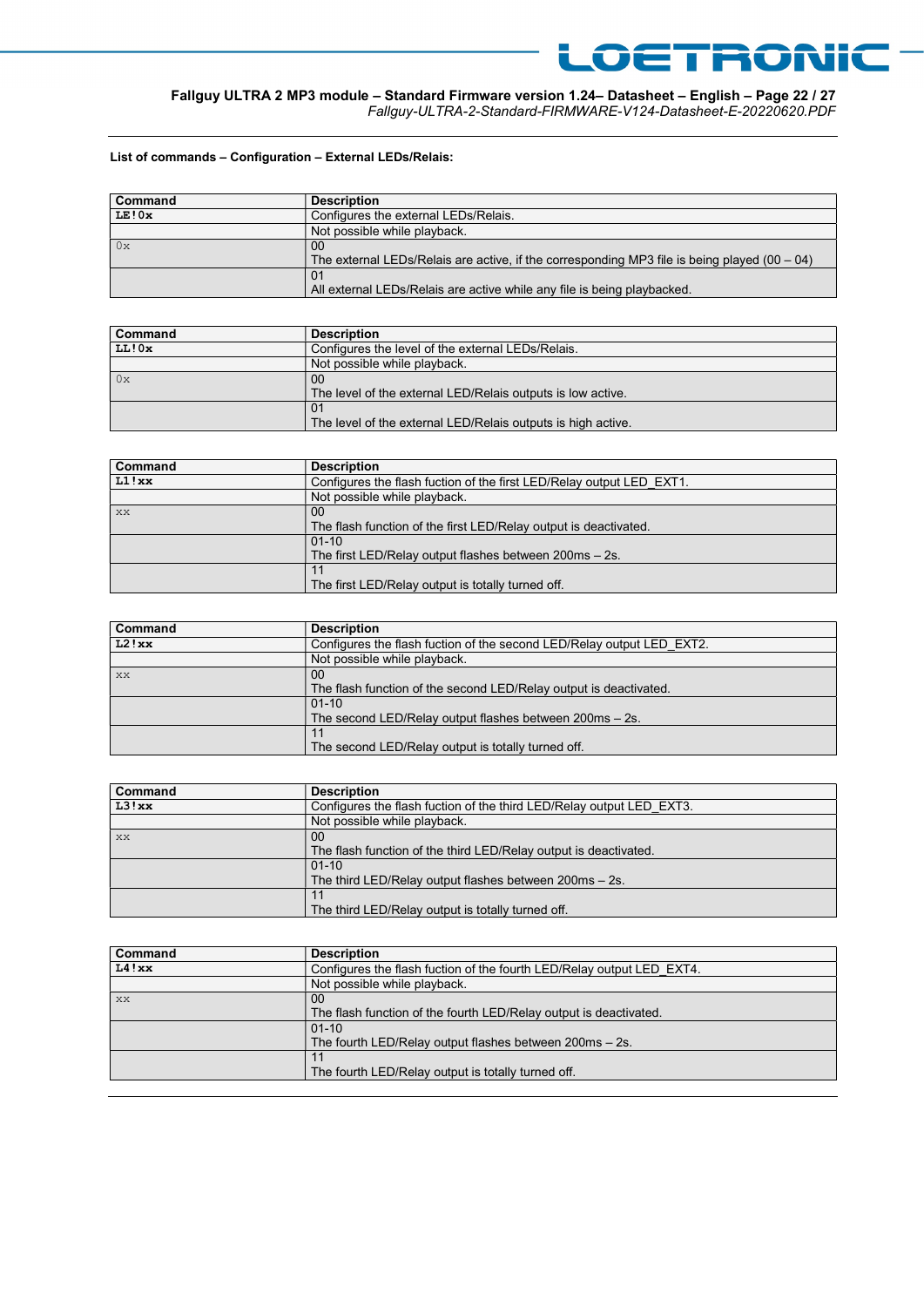## Fallguy ULTRA 2 MP3 module – Standard Firmware version 1.24– Datasheet – English – Page 22 / 27

Fallguy-ULTRA-2-Standard-FIRMWARE-V124-Datasheet-E-20220620.PDF

LOETRONIC

### List of commands – Configuration – External LEDs/Relais:

| Command | <b>Description</b>                                                                                   |
|---------|------------------------------------------------------------------------------------------------------|
| LE!0x   | Configures the external LEDs/Relais.                                                                 |
|         | Not possible while playback.                                                                         |
| 0x      | 00<br>The external LEDs/Relais are active, if the corresponding MP3 file is being played $(00 - 04)$ |
|         | 01<br>All external LEDs/Relais are active while any file is being playbacked.                        |

| Command | <b>Description</b>                                           |
|---------|--------------------------------------------------------------|
| LL!0x   | Configures the level of the external LEDs/Relais.            |
|         | Not possible while playback.                                 |
| 0x      | 00                                                           |
|         | The level of the external LED/Relais outputs is low active.  |
|         | 01                                                           |
|         | The level of the external LED/Relais outputs is high active. |

| <b>Command</b> | <b>Description</b>                                                      |
|----------------|-------------------------------------------------------------------------|
| LI!xx          | Configures the flash fuction of the first LED/Relay output LED EXT1.    |
|                | Not possible while playback.                                            |
| l xx           | 00                                                                      |
|                | The flash function of the first LED/Relay output is deactivated.        |
|                | $01-10$                                                                 |
|                | The first LED/Relay output flashes between $200\text{ms} - 2\text{s}$ . |
|                |                                                                         |
|                | The first LED/Relay output is totally turned off.                       |

| Command | <b>Description</b>                                                    |
|---------|-----------------------------------------------------------------------|
| L2!xx   | Configures the flash fuction of the second LED/Relay output LED EXT2. |
|         | Not possible while playback.                                          |
| XX      | 00                                                                    |
|         | The flash function of the second LED/Relay output is deactivated.     |
|         | $01-10$                                                               |
|         | The second LED/Relay output flashes between 200ms - 2s.               |
|         |                                                                       |
|         | The second LED/Relay output is totally turned off.                    |

| Command | <b>Description</b>                                                   |
|---------|----------------------------------------------------------------------|
| L3!xx   | Configures the flash fuction of the third LED/Relay output LED EXT3. |
|         | Not possible while playback.                                         |
| XX      | 00                                                                   |
|         | The flash function of the third LED/Relay output is deactivated.     |
|         | $01-10$                                                              |
|         | The third LED/Relay output flashes between $200ms - 2s$ .            |
|         |                                                                      |
|         | The third LED/Relay output is totally turned off.                    |

| Command | <b>Description</b>                                                    |
|---------|-----------------------------------------------------------------------|
| L4!xx   | Configures the flash fuction of the fourth LED/Relay output LED EXT4. |
|         | Not possible while playback.                                          |
| XX      | 00                                                                    |
|         | The flash function of the fourth LED/Relay output is deactivated.     |
|         | $01-10$                                                               |
|         | The fourth LED/Relay output flashes between 200ms - 2s.               |
|         |                                                                       |
|         | The fourth LED/Relay output is totally turned off.                    |
|         |                                                                       |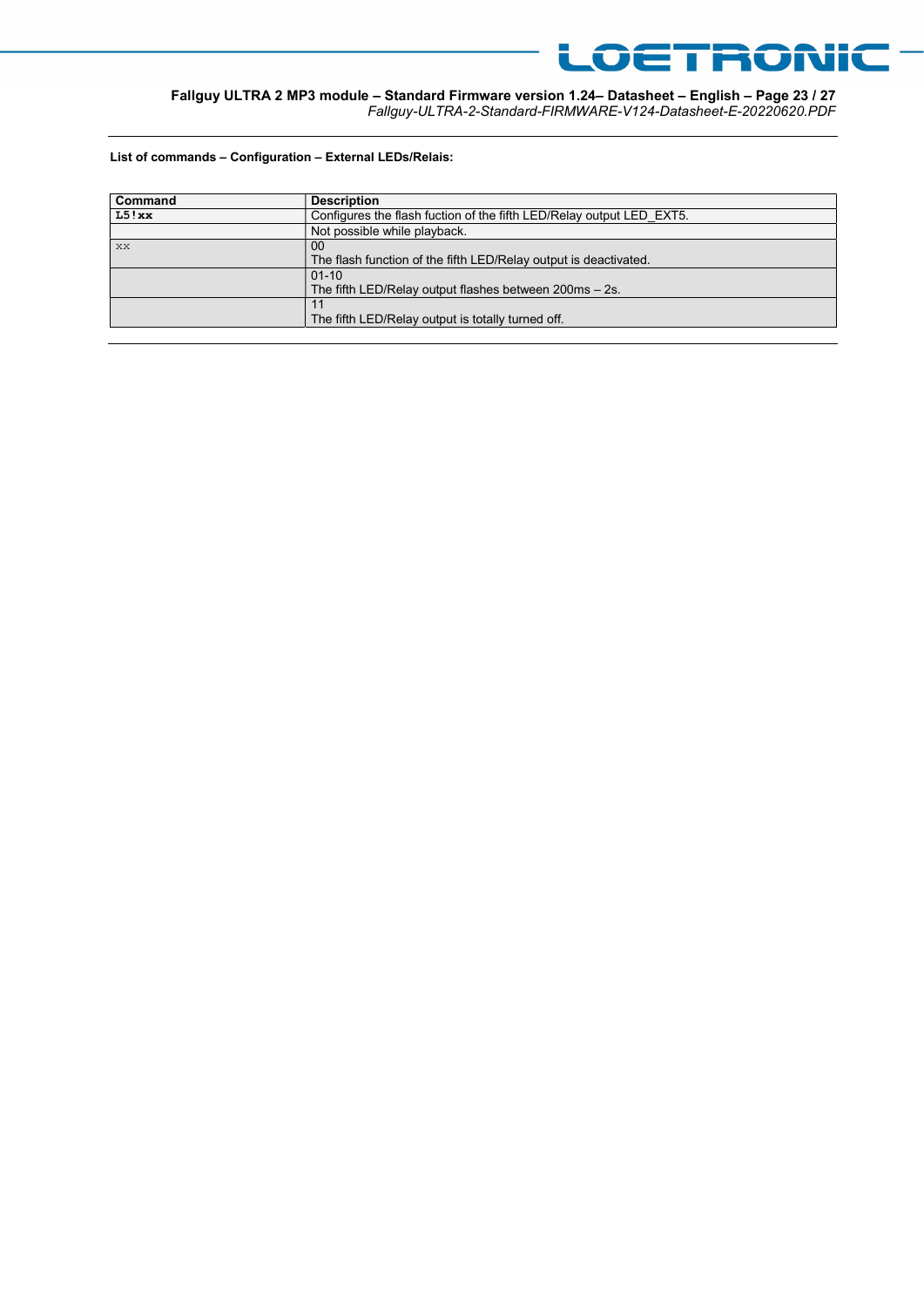

Fallguy ULTRA 2 MP3 module – Standard Firmware version 1.24– Datasheet – English – Page 23 / 27 Fallguy-ULTRA-2-Standard-FIRMWARE-V124-Datasheet-E-20220620.PDF

List of commands – Configuration – External LEDs/Relais:

| Command | <b>Description</b>                                                      |
|---------|-------------------------------------------------------------------------|
| L5!xx   | Configures the flash fuction of the fifth LED/Relay output LED EXT5.    |
|         | Not possible while playback.                                            |
| l xx    | 00                                                                      |
|         | The flash function of the fifth LED/Relay output is deactivated.        |
|         | $01 - 10$                                                               |
|         | The fifth LED/Relay output flashes between $200\text{ms} - 2\text{s}$ . |
|         |                                                                         |
|         | The fifth LED/Relay output is totally turned off.                       |
|         |                                                                         |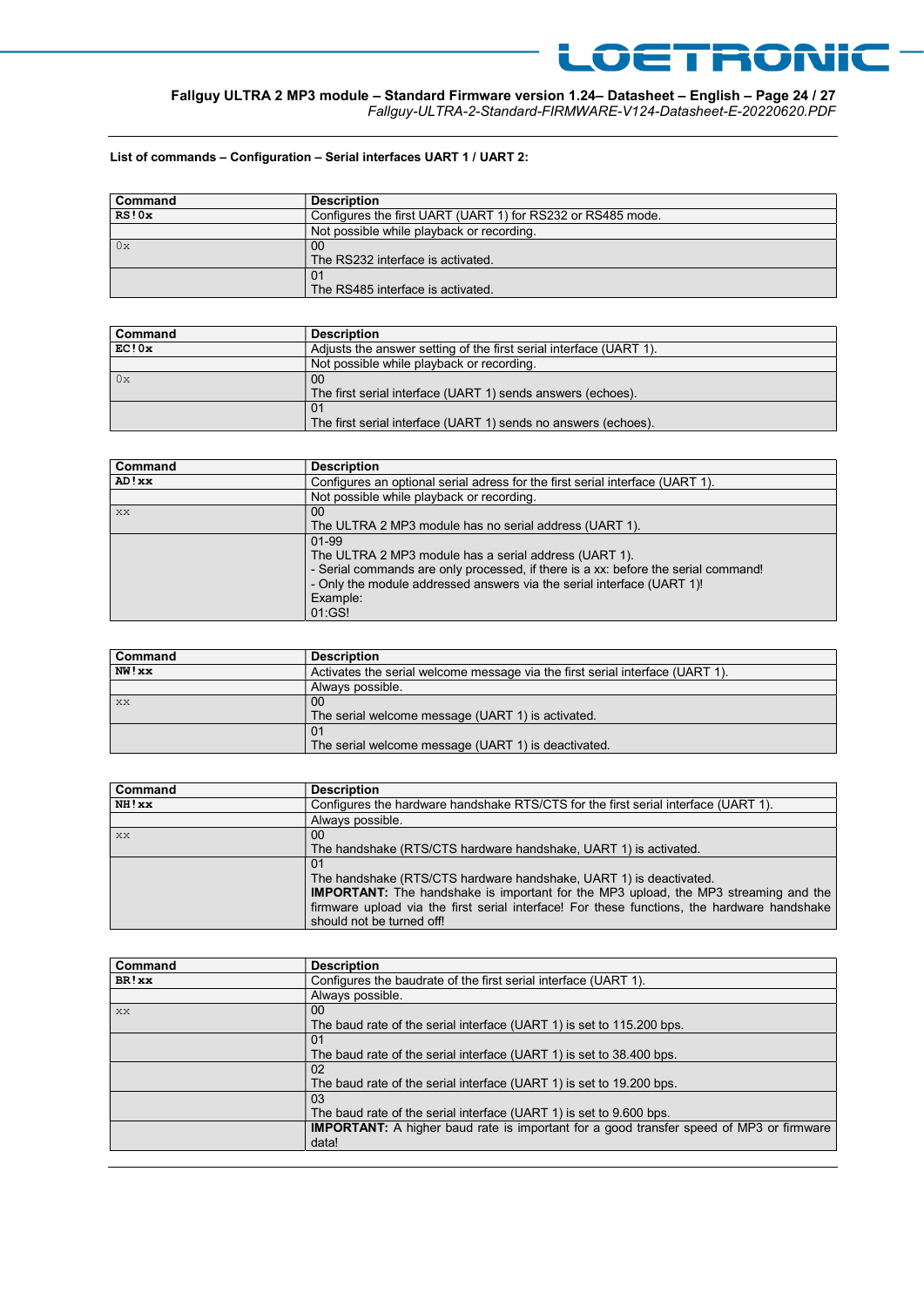#### Fallguy ULTRA 2 MP3 module – Standard Firmware version 1.24– Datasheet – English – Page 24 / 27 Fallguy-ULTRA-2-Standard-FIRMWARE-V124-Datasheet-E-20220620.PDF

LOETRONIC

#### List of commands – Configuration – Serial interfaces UART 1 / UART 2:

| Command | <b>Description</b>                                          |
|---------|-------------------------------------------------------------|
| RS!0x   | Configures the first UART (UART 1) for RS232 or RS485 mode. |
|         | Not possible while playback or recording.                   |
| 0x      | 00                                                          |
|         | The RS232 interface is activated.                           |
|         | 01                                                          |
|         | The RS485 interface is activated.                           |

| <b>Command</b> | <b>Description</b>                                                 |
|----------------|--------------------------------------------------------------------|
| EC!0x          | Adjusts the answer setting of the first serial interface (UART 1). |
|                | Not possible while playback or recording.                          |
| $\log$         | 00                                                                 |
|                | The first serial interface (UART 1) sends answers (echoes).        |
|                | 01                                                                 |
|                | The first serial interface (UART 1) sends no answers (echoes).     |

| Command | <b>Description</b>                                                                 |
|---------|------------------------------------------------------------------------------------|
| AD! xx  | Configures an optional serial adress for the first serial interface (UART 1).      |
|         | Not possible while playback or recording.                                          |
| XX      | 00                                                                                 |
|         | The ULTRA 2 MP3 module has no serial address (UART 1).                             |
|         | 01-99                                                                              |
|         | The ULTRA 2 MP3 module has a serial address (UART 1).                              |
|         | - Serial commands are only processed, if there is a xx: before the serial command! |
|         | - Only the module addressed answers via the serial interface (UART 1)!             |
|         | Example:                                                                           |
|         | 01:GS!                                                                             |

| Command | <b>Description</b>                                                            |
|---------|-------------------------------------------------------------------------------|
| NW!xx   | Activates the serial welcome message via the first serial interface (UART 1). |
|         | Always possible.                                                              |
| XX      | 00                                                                            |
|         | The serial welcome message (UART 1) is activated.                             |
|         | -01                                                                           |
|         | The serial welcome message (UART 1) is deactivated.                           |

| Command   | <b>Description</b>                                                                          |
|-----------|---------------------------------------------------------------------------------------------|
| NH!xx     | Configures the hardware handshake RTS/CTS for the first serial interface (UART 1).          |
|           | Always possible.                                                                            |
| <b>XX</b> | $00 \,$                                                                                     |
|           | The handshake (RTS/CTS hardware handshake, UART 1) is activated.                            |
|           | 01                                                                                          |
|           | The handshake (RTS/CTS hardware handshake, UART 1) is deactivated.                          |
|           | <b>IMPORTANT:</b> The handshake is important for the MP3 upload, the MP3 streaming and the  |
|           | firmware upload via the first serial interface! For these functions, the hardware handshake |
|           | should not be turned off!                                                                   |

| Command | <b>Description</b>                                                                             |
|---------|------------------------------------------------------------------------------------------------|
| BR!xx   | Configures the baudrate of the first serial interface (UART 1).                                |
|         | Always possible.                                                                               |
| XX      | 00                                                                                             |
|         | The baud rate of the serial interface (UART 1) is set to 115.200 bps.                          |
|         | 01                                                                                             |
|         | The baud rate of the serial interface (UART 1) is set to 38.400 bps.                           |
|         | 02                                                                                             |
|         | The baud rate of the serial interface (UART 1) is set to 19.200 bps.                           |
|         | 03                                                                                             |
|         | The baud rate of the serial interface (UART 1) is set to 9.600 bps.                            |
|         | <b>IMPORTANT:</b> A higher baud rate is important for a good transfer speed of MP3 or firmware |
|         | data!                                                                                          |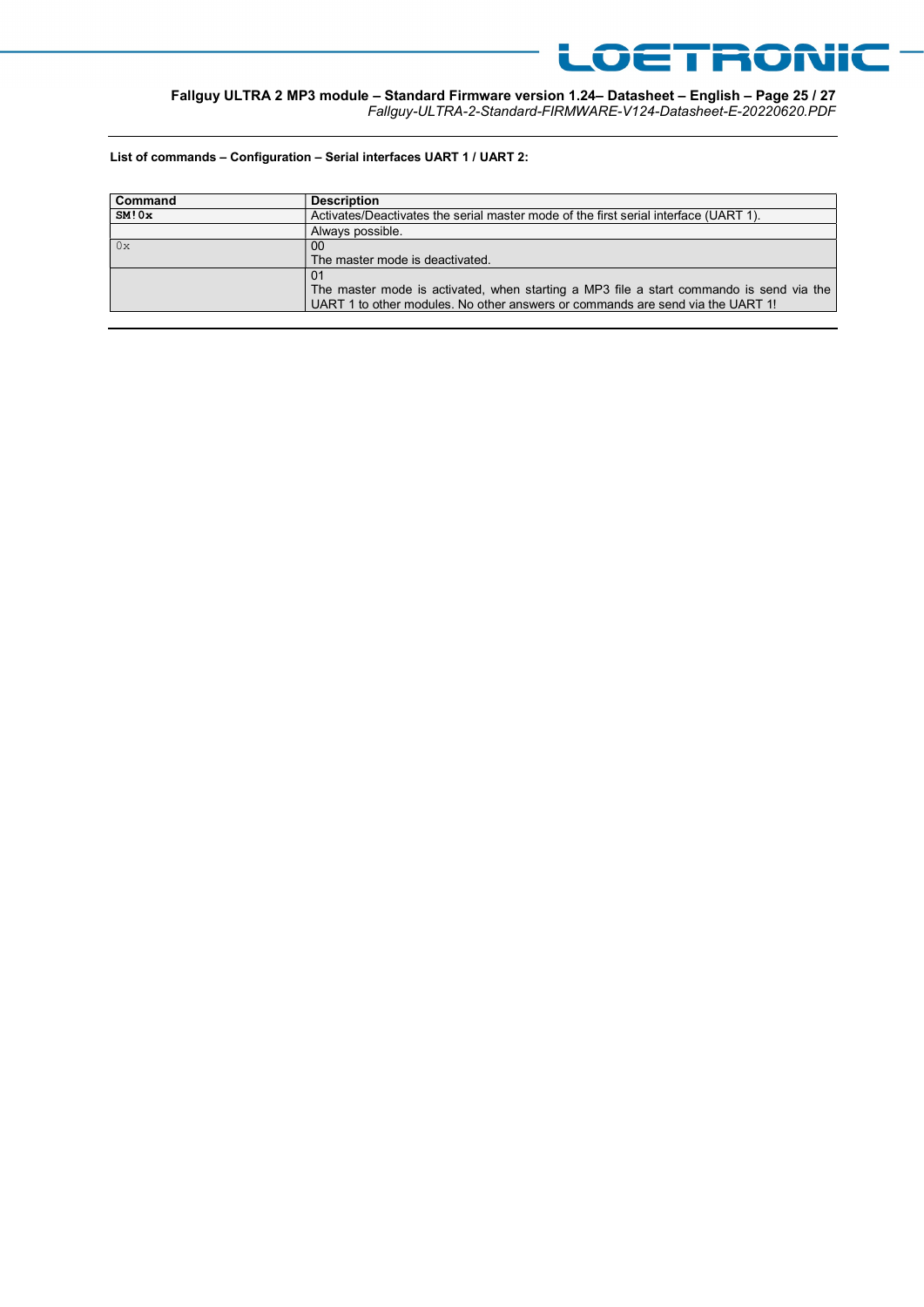

Fallguy ULTRA 2 MP3 module – Standard Firmware version 1.24– Datasheet – English – Page 25 / 27 Fallguy-ULTRA-2-Standard-FIRMWARE-V124-Datasheet-E-20220620.PDF

List of commands – Configuration – Serial interfaces UART 1 / UART 2:

| <b>Command</b> | <b>Description</b>                                                                      |
|----------------|-----------------------------------------------------------------------------------------|
| SM!0x          | Activates/Deactivates the serial master mode of the first serial interface (UART 1).    |
|                | Always possible.                                                                        |
| $\log$         | 00                                                                                      |
|                | The master mode is deactivated.                                                         |
|                | The master mode is activated, when starting a MP3 file a start commando is send via the |
|                | UART 1 to other modules. No other answers or commands are send via the UART 1!          |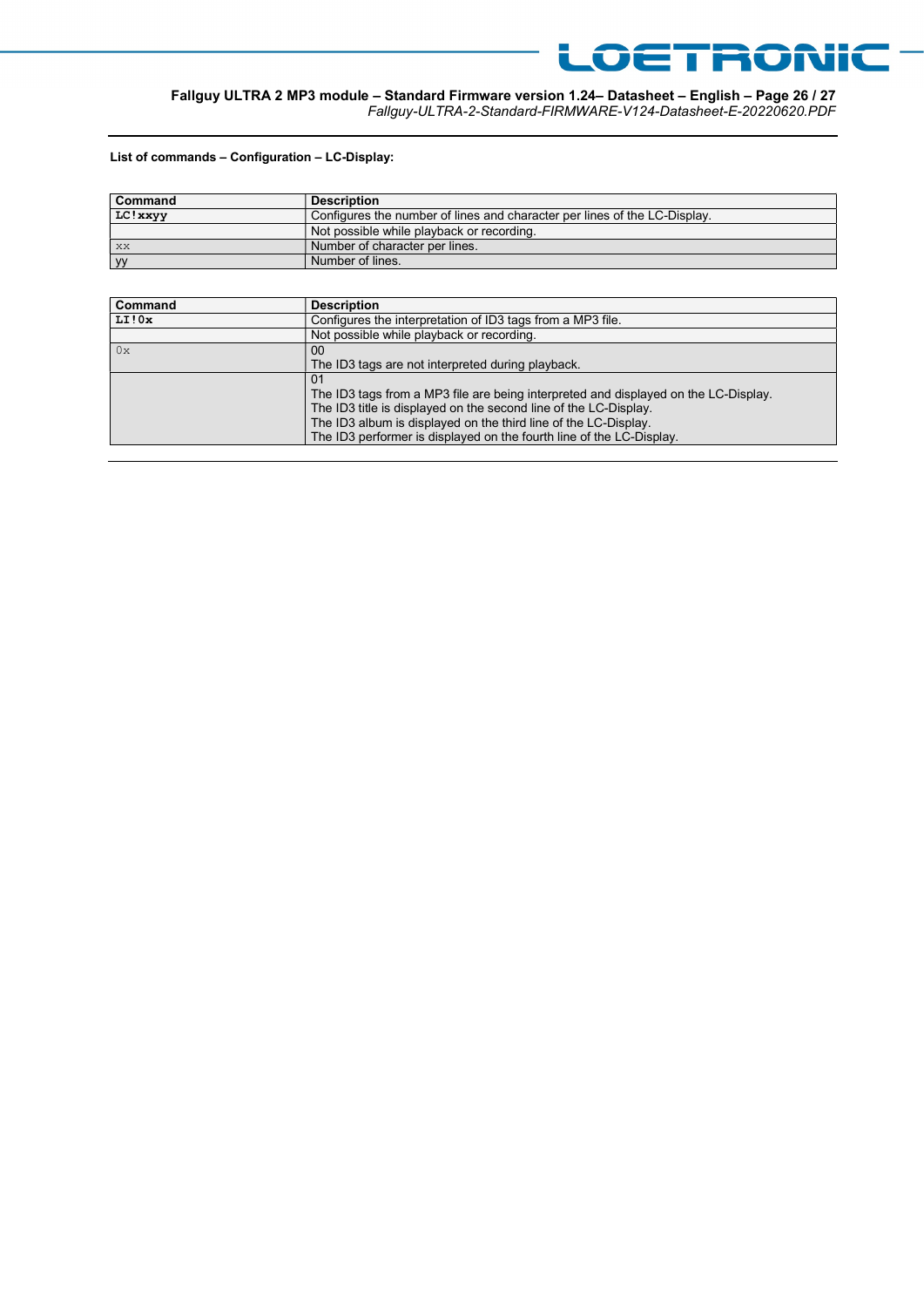

LOETRONIC

#### List of commands – Configuration – LC-Display:

| <b>Command</b> | <b>Description</b>                                                        |
|----------------|---------------------------------------------------------------------------|
| LC! xxyy       | Configures the number of lines and character per lines of the LC-Display. |
|                | Not possible while playback or recording.                                 |
| l xx           | Number of character per lines.                                            |
| yy             | Number of lines.                                                          |

| Command | <b>Description</b>                                                                  |
|---------|-------------------------------------------------------------------------------------|
| LI!0x   | Configures the interpretation of ID3 tags from a MP3 file.                          |
|         | Not possible while playback or recording.                                           |
| 0x      | $00 \,$                                                                             |
|         | The ID3 tags are not interpreted during playback.                                   |
|         | 0 <sub>1</sub>                                                                      |
|         | The ID3 tags from a MP3 file are being interpreted and displayed on the LC-Display. |
|         | The ID3 title is displayed on the second line of the LC-Display.                    |
|         | The ID3 album is displayed on the third line of the LC-Display.                     |
|         | The ID3 performer is displayed on the fourth line of the LC-Display.                |